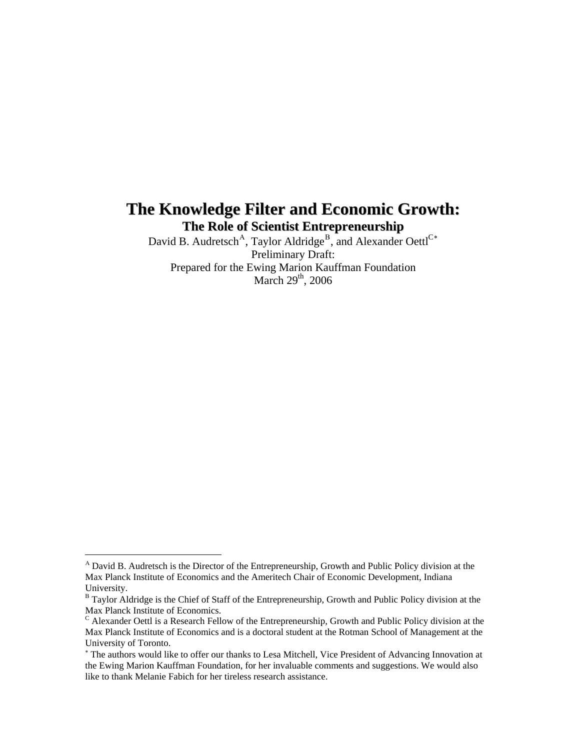# **The Knowledge Filter and Economic Growth: The Role of Scientist Entrepreneurship**

David B. Audretsch<sup>A</sup>, Taylor Aldridge<sup>B</sup>, and Alexander Oettl<sup>C\*</sup> Preliminary Draft: Prepared for the Ewing Marion Kauffman Foundation March  $29<sup>th</sup>$ , 2006

 $\overline{a}$ 

<span id="page-0-0"></span><sup>Α</sup> David B. Audretsch is the Director of the Entrepreneurship, Growth and Public Policy division at the Max Planck Institute of Economics and the Ameritech Chair of Economic Development, Indiana University.

<span id="page-0-1"></span>B Taylor Aldridge is the Chief of Staff of the Entrepreneurship, Growth and Public Policy division at the Max Planck Institute of Economics.

 $\rm{c}$  Alexander Oettl is a Research Fellow of the Entrepreneurship, Growth and Public Policy division at the Max Planck Institute of Economics and is a doctoral student at the Rotman School of Management at the University of Toronto.

<span id="page-0-2"></span><sup>∗</sup> The authors would like to offer our thanks to Lesa Mitchell, Vice President of Advancing Innovation at the Ewing Marion Kauffman Foundation, for her invaluable comments and suggestions. We would also like to thank Melanie Fabich for her tireless research assistance.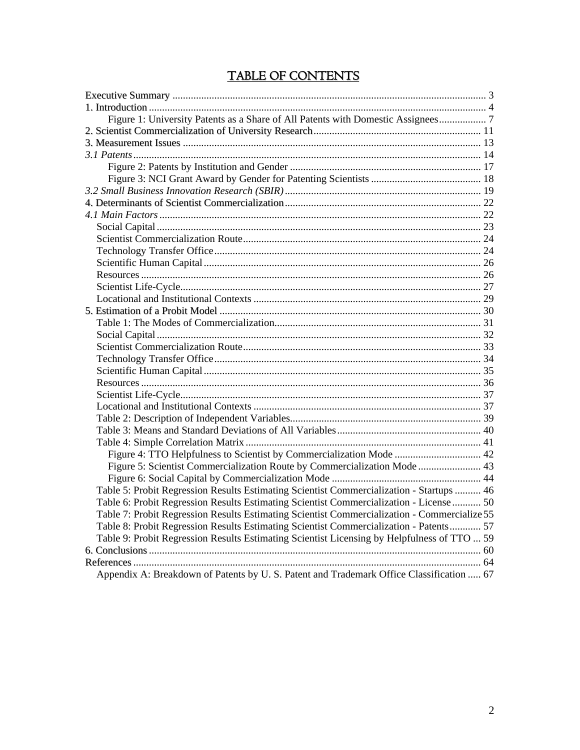# TABLE OF CONTENTS

| Figure 4: TTO Helpfulness to Scientist by Commercialization Mode  42                         |
|----------------------------------------------------------------------------------------------|
| Figure 5: Scientist Commercialization Route by Commercialization Mode  43                    |
|                                                                                              |
| Table 5: Probit Regression Results Estimating Scientist Commercialization - Startups  46     |
| Table 6: Probit Regression Results Estimating Scientist Commercialization - License  50      |
| Table 7: Probit Regression Results Estimating Scientist Commercialization - Commercialize 55 |
| Table 8: Probit Regression Results Estimating Scientist Commercialization - Patents 57       |
| Table 9: Probit Regression Results Estimating Scientist Licensing by Helpfulness of TTO  59  |
|                                                                                              |
|                                                                                              |
| Appendix A: Breakdown of Patents by U. S. Patent and Trademark Office Classification  67     |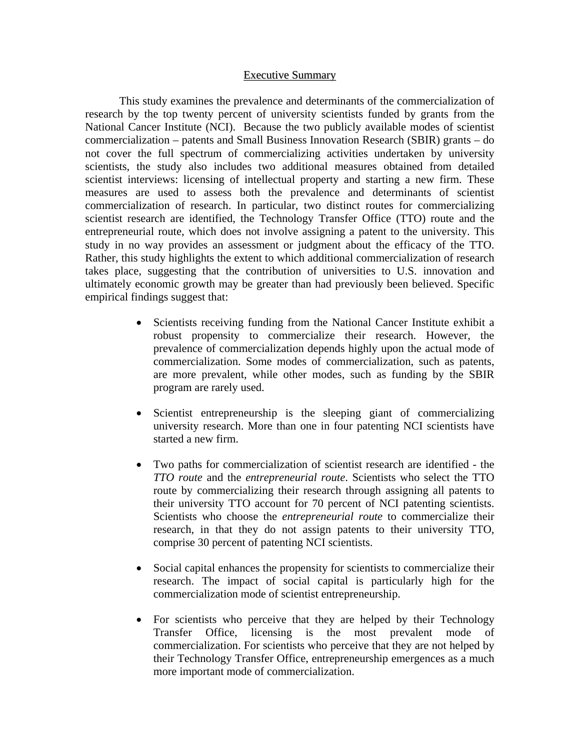### **Executive Summary**

<span id="page-2-0"></span>This study examines the prevalence and determinants of the commercialization of research by the top twenty percent of university scientists funded by grants from the National Cancer Institute (NCI). Because the two publicly available modes of scientist commercialization – patents and Small Business Innovation Research (SBIR) grants – do not cover the full spectrum of commercializing activities undertaken by university scientists, the study also includes two additional measures obtained from detailed scientist interviews: licensing of intellectual property and starting a new firm. These measures are used to assess both the prevalence and determinants of scientist commercialization of research. In particular, two distinct routes for commercializing scientist research are identified, the Technology Transfer Office (TTO) route and the entrepreneurial route, which does not involve assigning a patent to the university. This study in no way provides an assessment or judgment about the efficacy of the TTO. Rather, this study highlights the extent to which additional commercialization of research takes place, suggesting that the contribution of universities to U.S. innovation and ultimately economic growth may be greater than had previously been believed. Specific empirical findings suggest that:

- Scientists receiving funding from the National Cancer Institute exhibit a robust propensity to commercialize their research. However, the prevalence of commercialization depends highly upon the actual mode of commercialization. Some modes of commercialization, such as patents, are more prevalent, while other modes, such as funding by the SBIR program are rarely used.
- Scientist entrepreneurship is the sleeping giant of commercializing university research. More than one in four patenting NCI scientists have started a new firm.
- Two paths for commercialization of scientist research are identified the *TTO route* and the *entrepreneurial route*. Scientists who select the TTO route by commercializing their research through assigning all patents to their university TTO account for 70 percent of NCI patenting scientists. Scientists who choose the *entrepreneurial route* to commercialize their research, in that they do not assign patents to their university TTO, comprise 30 percent of patenting NCI scientists.
- Social capital enhances the propensity for scientists to commercialize their research. The impact of social capital is particularly high for the commercialization mode of scientist entrepreneurship.
- For scientists who perceive that they are helped by their Technology Transfer Office, licensing is the most prevalent mode of commercialization. For scientists who perceive that they are not helped by their Technology Transfer Office, entrepreneurship emergences as a much more important mode of commercialization.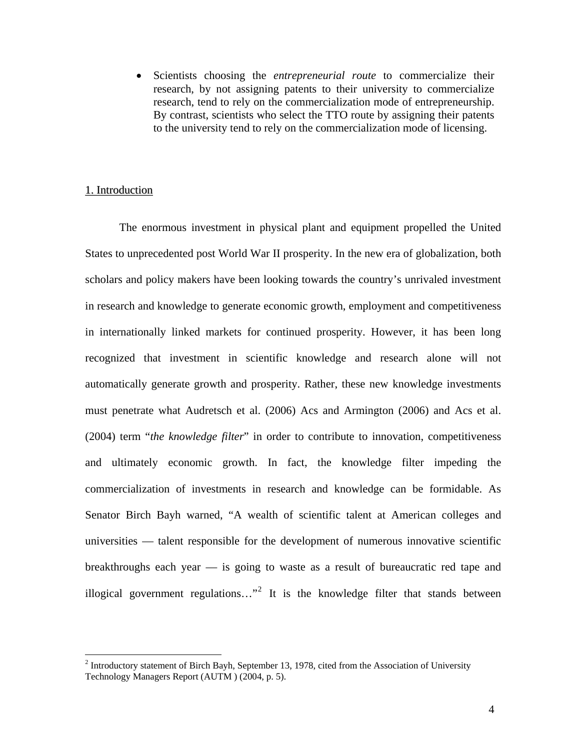<span id="page-3-0"></span>• Scientists choosing the *entrepreneurial route* to commercialize their research, by not assigning patents to their university to commercialize research, tend to rely on the commercialization mode of entrepreneurship. By contrast, scientists who select the TTO route by assigning their patents to the university tend to rely on the commercialization mode of licensing.

#### 1. Introduction

 $\overline{a}$ 

The enormous investment in physical plant and equipment propelled the United States to unprecedented post World War II prosperity. In the new era of globalization, both scholars and policy makers have been looking towards the country's unrivaled investment in research and knowledge to generate economic growth, employment and competitiveness in internationally linked markets for continued prosperity. However, it has been long recognized that investment in scientific knowledge and research alone will not automatically generate growth and prosperity. Rather, these new knowledge investments must penetrate what Audretsch et al. (2006) Acs and Armington (2006) and Acs et al. (2004) term "*the knowledge filter*" in order to contribute to innovation, competitiveness and ultimately economic growth. In fact, the knowledge filter impeding the commercialization of investments in research and knowledge can be formidable. As Senator Birch Bayh warned, "A wealth of scientific talent at American colleges and universities — talent responsible for the development of numerous innovative scientific breakthroughs each year — is going to waste as a result of bureaucratic red tape and illogical government regulations..."<sup>[2](#page-3-1)</sup> It is the knowledge filter that stands between

<span id="page-3-1"></span><sup>&</sup>lt;sup>2</sup> Introductory statement of Birch Bayh, September 13, 1978, cited from the Association of University Technology Managers Report (AUTM ) (2004, p. 5).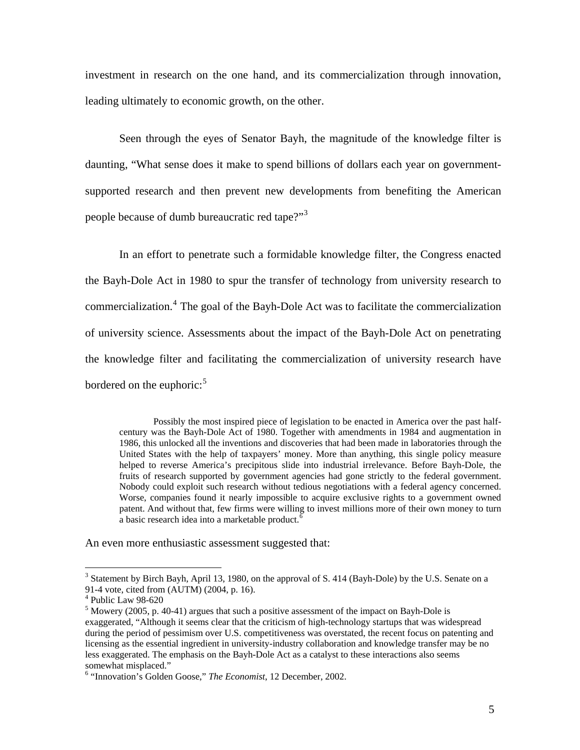investment in research on the one hand, and its commercialization through innovation, leading ultimately to economic growth, on the other.

Seen through the eyes of Senator Bayh, the magnitude of the knowledge filter is daunting, "What sense does it make to spend billions of dollars each year on governmentsupported research and then prevent new developments from benefiting the American people because of dumb bureaucratic red tape?"<sup>[3](#page-4-0)</sup>

In an effort to penetrate such a formidable knowledge filter, the Congress enacted the Bayh-Dole Act in 1980 to spur the transfer of technology from university research to commercialization.<sup>[4](#page-4-1)</sup> The goal of the Bayh-Dole Act was to facilitate the commercialization of university science. Assessments about the impact of the Bayh-Dole Act on penetrating the knowledge filter and facilitating the commercialization of university research have bordered on the euphoric:<sup>[5](#page-4-2)</sup>

Possibly the most inspired piece of legislation to be enacted in America over the past halfcentury was the Bayh-Dole Act of 1980. Together with amendments in 1984 and augmentation in 1986, this unlocked all the inventions and discoveries that had been made in laboratories through the United States with the help of taxpayers' money. More than anything, this single policy measure helped to reverse America's precipitous slide into industrial irrelevance. Before Bayh-Dole, the fruits of research supported by government agencies had gone strictly to the federal government. Nobody could exploit such research without tedious negotiations with a federal agency concerned. Worse, companies found it nearly impossible to acquire exclusive rights to a government owned patent. And without that, few firms were willing to invest millions more of their own money to turn a basic research idea into a marketable product.<sup>[6](#page-4-3)</sup>

An even more enthusiastic assessment suggested that:

 $\overline{a}$ 

<span id="page-4-0"></span> $3$  Statement by Birch Bayh, April 13, 1980, on the approval of S. 414 (Bayh-Dole) by the U.S. Senate on a 91-4 vote, cited from (AUTM) (2004, p. 16).

<sup>4</sup> Public Law 98-620

<span id="page-4-2"></span><span id="page-4-1"></span> $<sup>5</sup>$  Mowery (2005, p. 40-41) argues that such a positive assessment of the impact on Bayh-Dole is</sup> exaggerated, "Although it seems clear that the criticism of high-technology startups that was widespread during the period of pessimism over U.S. competitiveness was overstated, the recent focus on patenting and licensing as the essential ingredient in university-industry collaboration and knowledge transfer may be no less exaggerated. The emphasis on the Bayh-Dole Act as a catalyst to these interactions also seems somewhat misplaced."

<span id="page-4-3"></span><sup>6</sup> "Innovation's Golden Goose," *The Economist*, 12 December, 2002.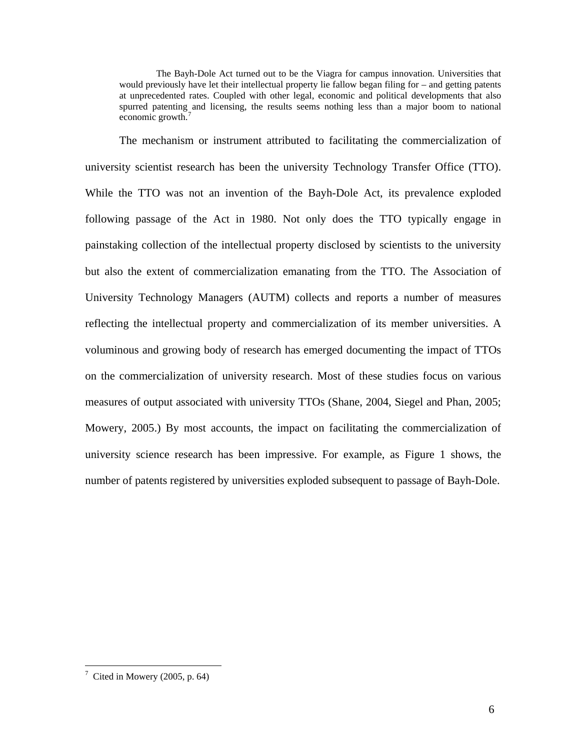The Bayh-Dole Act turned out to be the Viagra for campus innovation. Universities that would previously have let their intellectual property lie fallow began filing for – and getting patents at unprecedented rates. Coupled with other legal, economic and political developments that also spurred patenting and licensing, the results seems nothing less than a major boom to national economic growth.<sup>[7](#page-5-0)</sup>

The mechanism or instrument attributed to facilitating the commercialization of university scientist research has been the university Technology Transfer Office (TTO). While the TTO was not an invention of the Bayh-Dole Act, its prevalence exploded following passage of the Act in 1980. Not only does the TTO typically engage in painstaking collection of the intellectual property disclosed by scientists to the university but also the extent of commercialization emanating from the TTO. The Association of University Technology Managers (AUTM) collects and reports a number of measures reflecting the intellectual property and commercialization of its member universities. A voluminous and growing body of research has emerged documenting the impact of TTOs on the commercialization of university research. Most of these studies focus on various measures of output associated with university TTOs (Shane, 2004, Siegel and Phan, 2005; Mowery, 2005.) By most accounts, the impact on facilitating the commercialization of university science research has been impressive. For example, as Figure 1 shows, the number of patents registered by universities exploded subsequent to passage of Bayh-Dole.

 $\overline{a}$ 

<span id="page-5-0"></span><sup>&</sup>lt;sup>7</sup> Cited in Mowery (2005, p. 64)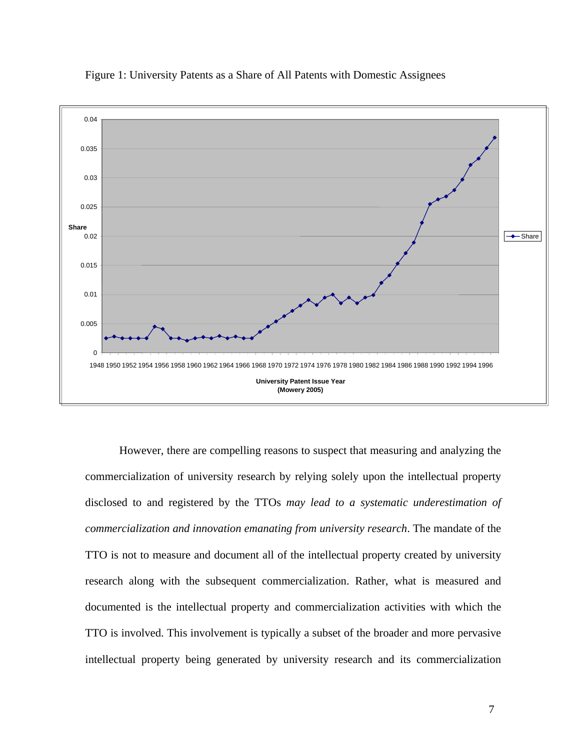<span id="page-6-0"></span>

Figure 1: University Patents as a Share of All Patents with Domestic Assignees

However, there are compelling reasons to suspect that measuring and analyzing the commercialization of university research by relying solely upon the intellectual property disclosed to and registered by the TTOs *may lead to a systematic underestimation of commercialization and innovation emanating from university research*. The mandate of the TTO is not to measure and document all of the intellectual property created by university research along with the subsequent commercialization. Rather, what is measured and documented is the intellectual property and commercialization activities with which the TTO is involved. This involvement is typically a subset of the broader and more pervasive intellectual property being generated by university research and its commercialization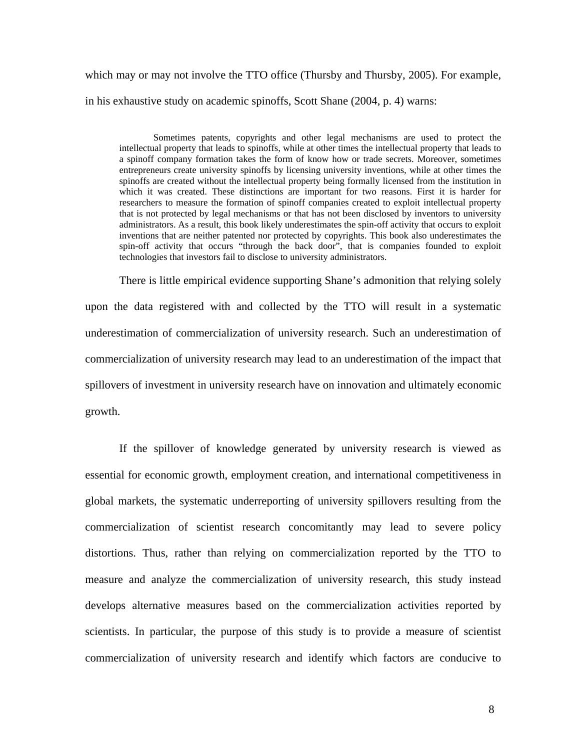which may or may not involve the TTO office (Thursby and Thursby, 2005). For example, in his exhaustive study on academic spinoffs, Scott Shane (2004, p. 4) warns:

Sometimes patents, copyrights and other legal mechanisms are used to protect the intellectual property that leads to spinoffs, while at other times the intellectual property that leads to a spinoff company formation takes the form of know how or trade secrets. Moreover, sometimes entrepreneurs create university spinoffs by licensing university inventions, while at other times the spinoffs are created without the intellectual property being formally licensed from the institution in which it was created. These distinctions are important for two reasons. First it is harder for researchers to measure the formation of spinoff companies created to exploit intellectual property that is not protected by legal mechanisms or that has not been disclosed by inventors to university administrators. As a result, this book likely underestimates the spin-off activity that occurs to exploit inventions that are neither patented nor protected by copyrights. This book also underestimates the spin-off activity that occurs "through the back door", that is companies founded to exploit technologies that investors fail to disclose to university administrators.

There is little empirical evidence supporting Shane's admonition that relying solely upon the data registered with and collected by the TTO will result in a systematic underestimation of commercialization of university research. Such an underestimation of commercialization of university research may lead to an underestimation of the impact that spillovers of investment in university research have on innovation and ultimately economic growth.

If the spillover of knowledge generated by university research is viewed as essential for economic growth, employment creation, and international competitiveness in global markets, the systematic underreporting of university spillovers resulting from the commercialization of scientist research concomitantly may lead to severe policy distortions. Thus, rather than relying on commercialization reported by the TTO to measure and analyze the commercialization of university research, this study instead develops alternative measures based on the commercialization activities reported by scientists. In particular, the purpose of this study is to provide a measure of scientist commercialization of university research and identify which factors are conducive to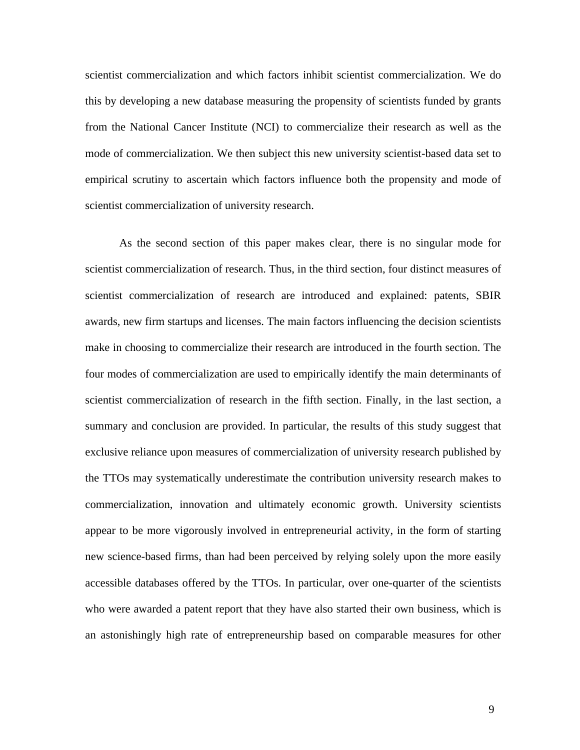scientist commercialization and which factors inhibit scientist commercialization. We do this by developing a new database measuring the propensity of scientists funded by grants from the National Cancer Institute (NCI) to commercialize their research as well as the mode of commercialization. We then subject this new university scientist-based data set to empirical scrutiny to ascertain which factors influence both the propensity and mode of scientist commercialization of university research.

As the second section of this paper makes clear, there is no singular mode for scientist commercialization of research. Thus, in the third section, four distinct measures of scientist commercialization of research are introduced and explained: patents, SBIR awards, new firm startups and licenses. The main factors influencing the decision scientists make in choosing to commercialize their research are introduced in the fourth section. The four modes of commercialization are used to empirically identify the main determinants of scientist commercialization of research in the fifth section. Finally, in the last section, a summary and conclusion are provided. In particular, the results of this study suggest that exclusive reliance upon measures of commercialization of university research published by the TTOs may systematically underestimate the contribution university research makes to commercialization, innovation and ultimately economic growth. University scientists appear to be more vigorously involved in entrepreneurial activity, in the form of starting new science-based firms, than had been perceived by relying solely upon the more easily accessible databases offered by the TTOs. In particular, over one-quarter of the scientists who were awarded a patent report that they have also started their own business, which is an astonishingly high rate of entrepreneurship based on comparable measures for other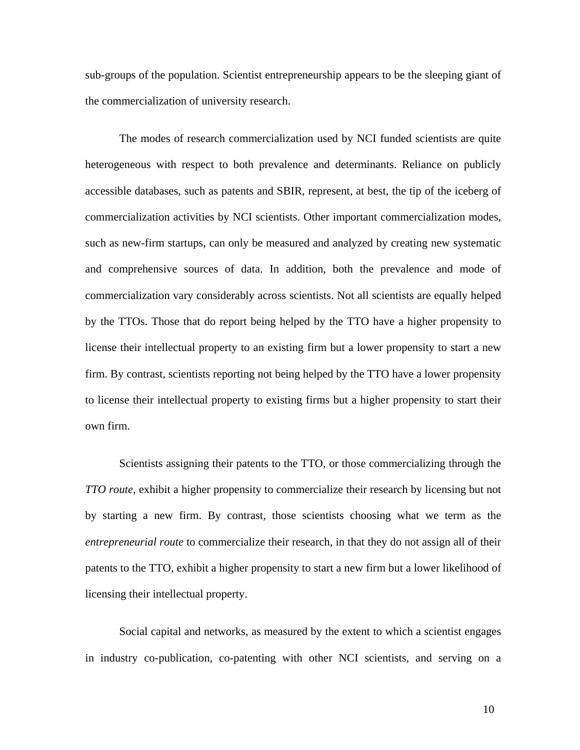sub-groups of the population. Scientist entrepreneurship appears to be the sleeping giant of the commercialization of university research.

The modes of research commercialization used by NCI funded scientists are quite heterogeneous with respect to both prevalence and determinants. Reliance on publicly accessible databases, such as patents and SBIR, represent, at best, the tip of the iceberg of commercialization activities by NCI scientists. Other important commercialization modes, such as new-firm startups, can only be measured and analyzed by creating new systematic and comprehensive sources of data. In addition, both the prevalence and mode of commercialization vary considerably across scientists. Not all scientists are equally helped by the TTOs. Those that do report being helped by the TTO have a higher propensity to license their intellectual property to an existing firm but a lower propensity to start a new firm. By contrast, scientists reporting not being helped by the TTO have a lower propensity to license their intellectual property to existing firms but a higher propensity to start their own firm.

Scientists assigning their patents to the TTO, or those commercializing through the *TTO route*, exhibit a higher propensity to commercialize their research by licensing but not by starting a new firm. By contrast, those scientists choosing what we term as the *entrepreneurial route* to commercialize their research, in that they do not assign all of their patents to the TTO, exhibit a higher propensity to start a new firm but a lower likelihood of licensing their intellectual property.

Social capital and networks, as measured by the extent to which a scientist engages in industry co-publication, co-patenting with other NCI scientists, and serving on a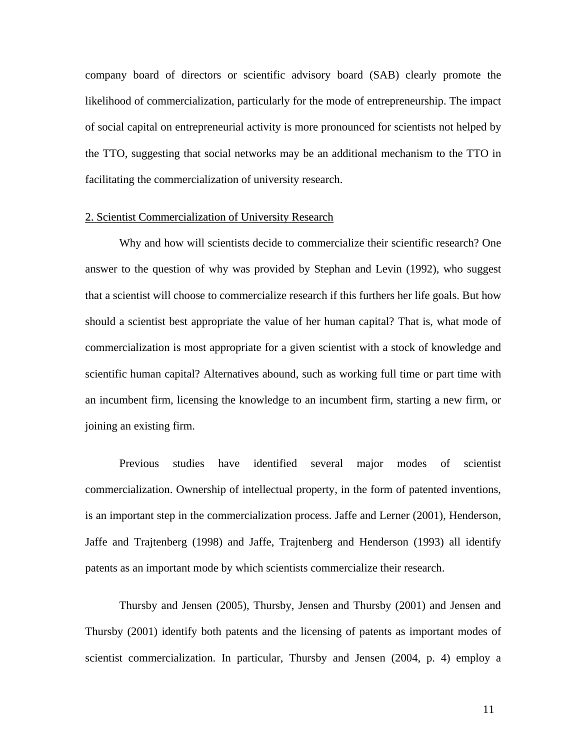<span id="page-10-0"></span>company board of directors or scientific advisory board (SAB) clearly promote the likelihood of commercialization, particularly for the mode of entrepreneurship. The impact of social capital on entrepreneurial activity is more pronounced for scientists not helped by the TTO, suggesting that social networks may be an additional mechanism to the TTO in facilitating the commercialization of university research.

#### 2. Scientist Commercialization of University Research

Why and how will scientists decide to commercialize their scientific research? One answer to the question of why was provided by Stephan and Levin (1992), who suggest that a scientist will choose to commercialize research if this furthers her life goals. But how should a scientist best appropriate the value of her human capital? That is, what mode of commercialization is most appropriate for a given scientist with a stock of knowledge and scientific human capital? Alternatives abound, such as working full time or part time with an incumbent firm, licensing the knowledge to an incumbent firm, starting a new firm, or joining an existing firm.

Previous studies have identified several major modes of scientist commercialization. Ownership of intellectual property, in the form of patented inventions, is an important step in the commercialization process. Jaffe and Lerner (2001), Henderson, Jaffe and Trajtenberg (1998) and Jaffe, Trajtenberg and Henderson (1993) all identify patents as an important mode by which scientists commercialize their research.

Thursby and Jensen (2005), Thursby, Jensen and Thursby (2001) and Jensen and Thursby (2001) identify both patents and the licensing of patents as important modes of scientist commercialization. In particular, Thursby and Jensen (2004, p. 4) employ a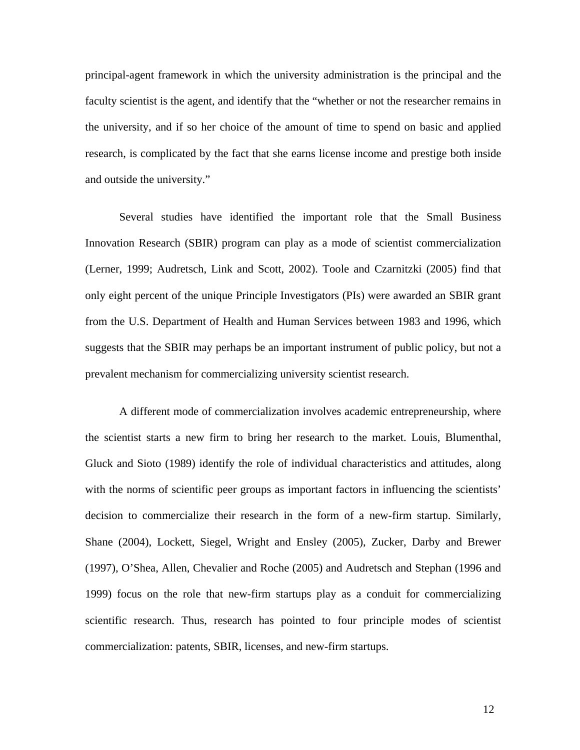principal-agent framework in which the university administration is the principal and the faculty scientist is the agent, and identify that the "whether or not the researcher remains in the university, and if so her choice of the amount of time to spend on basic and applied research, is complicated by the fact that she earns license income and prestige both inside and outside the university."

Several studies have identified the important role that the Small Business Innovation Research (SBIR) program can play as a mode of scientist commercialization (Lerner, 1999; Audretsch, Link and Scott, 2002). Toole and Czarnitzki (2005) find that only eight percent of the unique Principle Investigators (PIs) were awarded an SBIR grant from the U.S. Department of Health and Human Services between 1983 and 1996, which suggests that the SBIR may perhaps be an important instrument of public policy, but not a prevalent mechanism for commercializing university scientist research.

A different mode of commercialization involves academic entrepreneurship, where the scientist starts a new firm to bring her research to the market. Louis, Blumenthal, Gluck and Sioto (1989) identify the role of individual characteristics and attitudes, along with the norms of scientific peer groups as important factors in influencing the scientists' decision to commercialize their research in the form of a new-firm startup. Similarly, Shane (2004), Lockett, Siegel, Wright and Ensley (2005), Zucker, Darby and Brewer (1997), O'Shea, Allen, Chevalier and Roche (2005) and Audretsch and Stephan (1996 and 1999) focus on the role that new-firm startups play as a conduit for commercializing scientific research. Thus, research has pointed to four principle modes of scientist commercialization: patents, SBIR, licenses, and new-firm startups.

12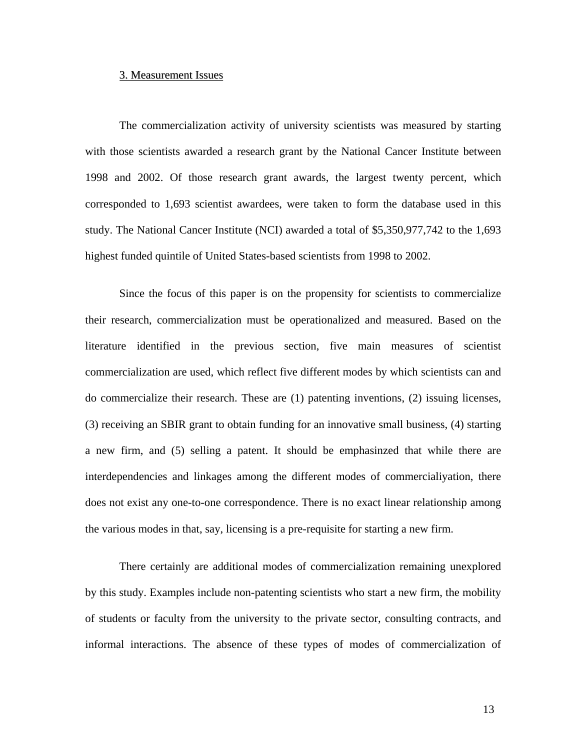#### <span id="page-12-0"></span>3. Measurement Issues

The commercialization activity of university scientists was measured by starting with those scientists awarded a research grant by the National Cancer Institute between 1998 and 2002. Of those research grant awards, the largest twenty percent, which corresponded to 1,693 scientist awardees, were taken to form the database used in this study. The National Cancer Institute (NCI) awarded a total of \$5,350,977,742 to the 1,693 highest funded quintile of United States-based scientists from 1998 to 2002.

Since the focus of this paper is on the propensity for scientists to commercialize their research, commercialization must be operationalized and measured. Based on the literature identified in the previous section, five main measures of scientist commercialization are used, which reflect five different modes by which scientists can and do commercialize their research. These are (1) patenting inventions, (2) issuing licenses, (3) receiving an SBIR grant to obtain funding for an innovative small business, (4) starting a new firm, and (5) selling a patent. It should be emphasinzed that while there are interdependencies and linkages among the different modes of commercialiyation, there does not exist any one-to-one correspondence. There is no exact linear relationship among the various modes in that, say, licensing is a pre-requisite for starting a new firm.

There certainly are additional modes of commercialization remaining unexplored by this study. Examples include non-patenting scientists who start a new firm, the mobility of students or faculty from the university to the private sector, consulting contracts, and informal interactions. The absence of these types of modes of commercialization of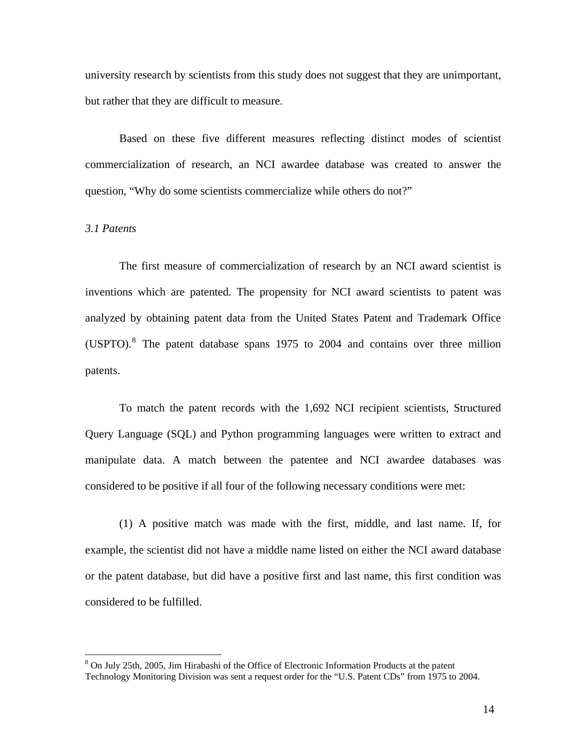<span id="page-13-0"></span>university research by scientists from this study does not suggest that they are unimportant, but rather that they are difficult to measure.

Based on these five different measures reflecting distinct modes of scientist commercialization of research, an NCI awardee database was created to answer the question, "Why do some scientists commercialize while others do not?"

### *3.1 Patents*

 $\overline{a}$ 

The first measure of commercialization of research by an NCI award scientist is inventions which are patented. The propensity for NCI award scientists to patent was analyzed by obtaining patent data from the United States Patent and Trademark Office (USPTO). $8$  The patent database spans 1975 to 2004 and contains over three million patents.

To match the patent records with the 1,692 NCI recipient scientists, Structured Query Language (SQL) and Python programming languages were written to extract and manipulate data. A match between the patentee and NCI awardee databases was considered to be positive if all four of the following necessary conditions were met:

(1) A positive match was made with the first, middle, and last name. If, for example, the scientist did not have a middle name listed on either the NCI award database or the patent database, but did have a positive first and last name, this first condition was considered to be fulfilled.

<span id="page-13-1"></span><sup>&</sup>lt;sup>8</sup> On July 25th, 2005, Jim Hirabashi of the Office of Electronic Information Products at the patent Technology Monitoring Division was sent a request order for the "U.S. Patent CDs" from 1975 to 2004.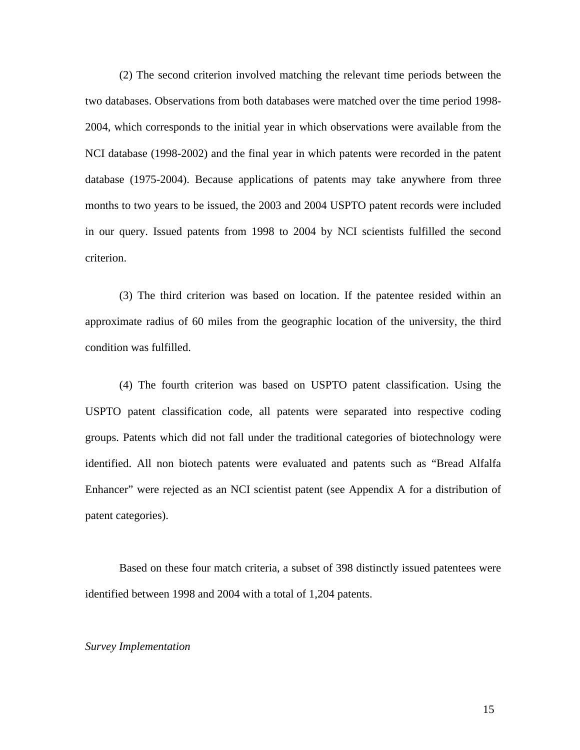(2) The second criterion involved matching the relevant time periods between the two databases. Observations from both databases were matched over the time period 1998- 2004, which corresponds to the initial year in which observations were available from the NCI database (1998-2002) and the final year in which patents were recorded in the patent database (1975-2004). Because applications of patents may take anywhere from three months to two years to be issued, the 2003 and 2004 USPTO patent records were included in our query. Issued patents from 1998 to 2004 by NCI scientists fulfilled the second criterion.

(3) The third criterion was based on location. If the patentee resided within an approximate radius of 60 miles from the geographic location of the university, the third condition was fulfilled.

 (4) The fourth criterion was based on USPTO patent classification. Using the USPTO patent classification code, all patents were separated into respective coding groups. Patents which did not fall under the traditional categories of biotechnology were identified. All non biotech patents were evaluated and patents such as "Bread Alfalfa Enhancer" were rejected as an NCI scientist patent (see Appendix A for a distribution of patent categories).

 Based on these four match criteria, a subset of 398 distinctly issued patentees were identified between 1998 and 2004 with a total of 1,204 patents.

#### *Survey Implementation*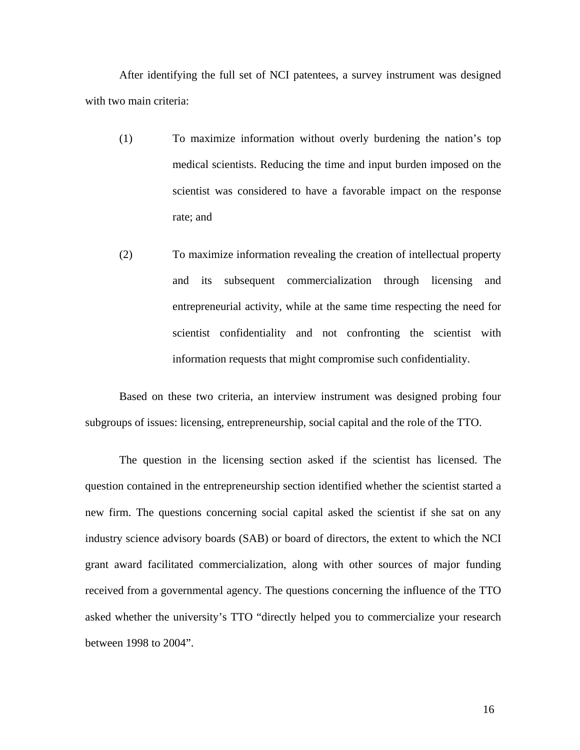After identifying the full set of NCI patentees, a survey instrument was designed with two main criteria:

- (1) To maximize information without overly burdening the nation's top medical scientists. Reducing the time and input burden imposed on the scientist was considered to have a favorable impact on the response rate; and
- (2) To maximize information revealing the creation of intellectual property and its subsequent commercialization through licensing and entrepreneurial activity, while at the same time respecting the need for scientist confidentiality and not confronting the scientist with information requests that might compromise such confidentiality.

Based on these two criteria, an interview instrument was designed probing four subgroups of issues: licensing, entrepreneurship, social capital and the role of the TTO.

The question in the licensing section asked if the scientist has licensed. The question contained in the entrepreneurship section identified whether the scientist started a new firm. The questions concerning social capital asked the scientist if she sat on any industry science advisory boards (SAB) or board of directors, the extent to which the NCI grant award facilitated commercialization, along with other sources of major funding received from a governmental agency. The questions concerning the influence of the TTO asked whether the university's TTO "directly helped you to commercialize your research between 1998 to 2004".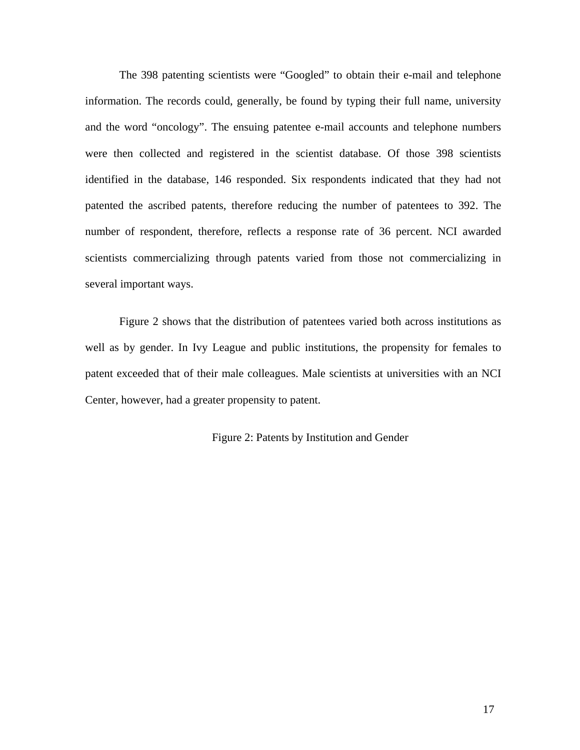<span id="page-16-0"></span>The 398 patenting scientists were "Googled" to obtain their e-mail and telephone information. The records could, generally, be found by typing their full name, university and the word "oncology". The ensuing patentee e-mail accounts and telephone numbers were then collected and registered in the scientist database. Of those 398 scientists identified in the database, 146 responded. Six respondents indicated that they had not patented the ascribed patents, therefore reducing the number of patentees to 392. The number of respondent, therefore, reflects a response rate of 36 percent. NCI awarded scientists commercializing through patents varied from those not commercializing in several important ways.

Figure 2 shows that the distribution of patentees varied both across institutions as well as by gender. In Ivy League and public institutions, the propensity for females to patent exceeded that of their male colleagues. Male scientists at universities with an NCI Center, however, had a greater propensity to patent.

Figure 2: Patents by Institution and Gender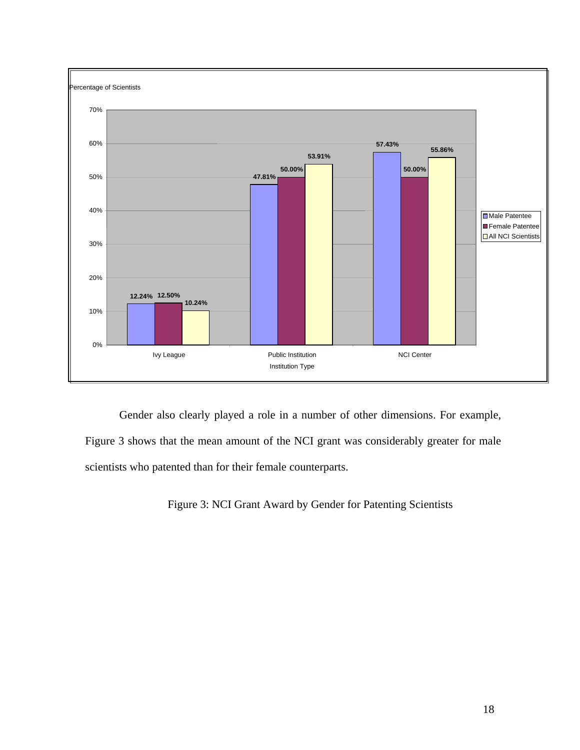<span id="page-17-0"></span>

Gender also clearly played a role in a number of other dimensions. For example, Figure 3 shows that the mean amount of the NCI grant was considerably greater for male scientists who patented than for their female counterparts.

Figure 3: NCI Grant Award by Gender for Patenting Scientists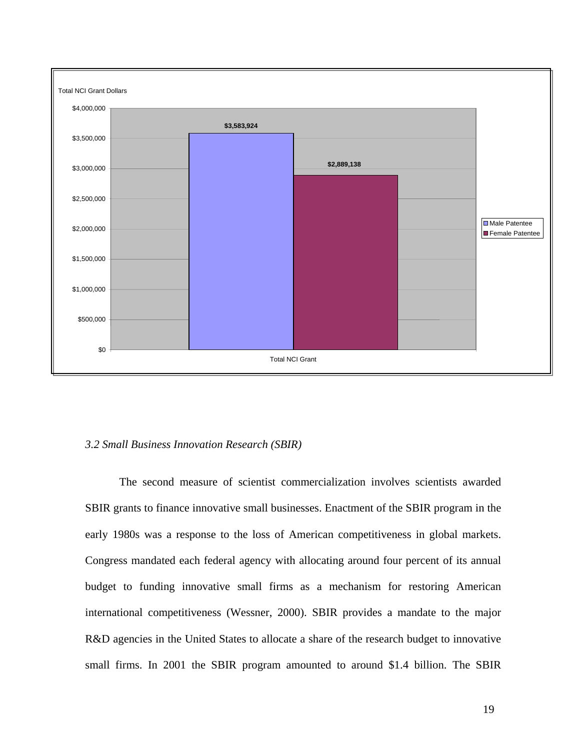<span id="page-18-0"></span>

#### *3.2 Small Business Innovation Research (SBIR)*

The second measure of scientist commercialization involves scientists awarded SBIR grants to finance innovative small businesses. Enactment of the SBIR program in the early 1980s was a response to the loss of American competitiveness in global markets. Congress mandated each federal agency with allocating around four percent of its annual budget to funding innovative small firms as a mechanism for restoring American international competitiveness (Wessner, 2000). SBIR provides a mandate to the major R&D agencies in the United States to allocate a share of the research budget to innovative small firms. In 2001 the SBIR program amounted to around \$1.4 billion. The SBIR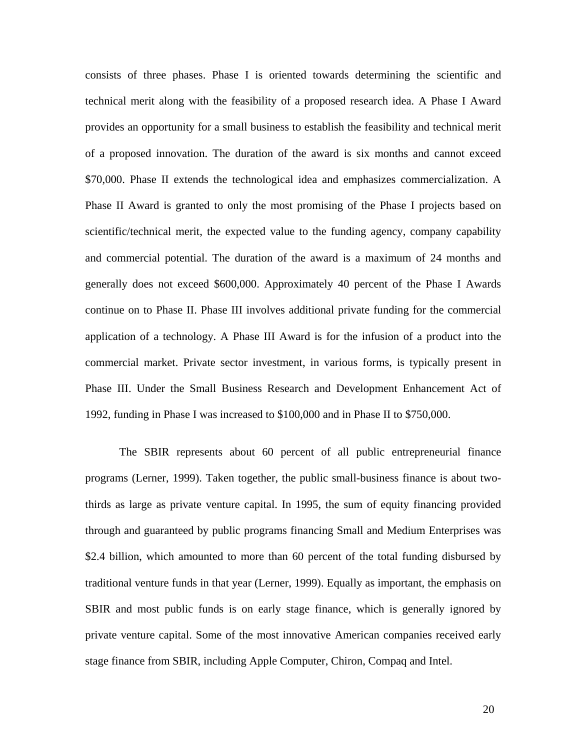consists of three phases. Phase I is oriented towards determining the scientific and technical merit along with the feasibility of a proposed research idea. A Phase I Award provides an opportunity for a small business to establish the feasibility and technical merit of a proposed innovation. The duration of the award is six months and cannot exceed \$70,000. Phase II extends the technological idea and emphasizes commercialization. A Phase II Award is granted to only the most promising of the Phase I projects based on scientific/technical merit, the expected value to the funding agency, company capability and commercial potential. The duration of the award is a maximum of 24 months and generally does not exceed \$600,000. Approximately 40 percent of the Phase I Awards continue on to Phase II. Phase III involves additional private funding for the commercial application of a technology. A Phase III Award is for the infusion of a product into the commercial market. Private sector investment, in various forms, is typically present in Phase III. Under the Small Business Research and Development Enhancement Act of 1992, funding in Phase I was increased to \$100,000 and in Phase II to \$750,000.

The SBIR represents about 60 percent of all public entrepreneurial finance programs (Lerner, 1999). Taken together, the public small-business finance is about twothirds as large as private venture capital. In 1995, the sum of equity financing provided through and guaranteed by public programs financing Small and Medium Enterprises was \$2.4 billion, which amounted to more than 60 percent of the total funding disbursed by traditional venture funds in that year (Lerner, 1999). Equally as important, the emphasis on SBIR and most public funds is on early stage finance, which is generally ignored by private venture capital. Some of the most innovative American companies received early stage finance from SBIR, including Apple Computer, Chiron, Compaq and Intel.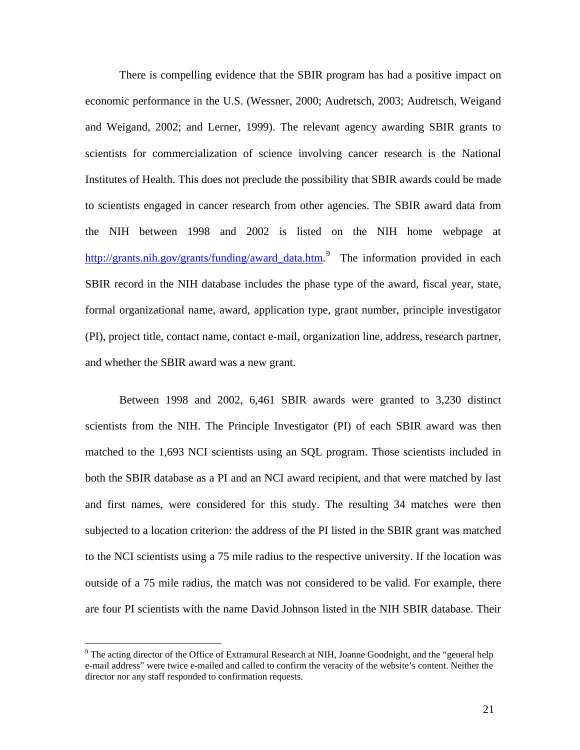There is compelling evidence that the SBIR program has had a positive impact on economic performance in the U.S. (Wessner, 2000; Audretsch, 2003; Audretsch, Weigand and Weigand, 2002; and Lerner, 1999). The relevant agency awarding SBIR grants to scientists for commercialization of science involving cancer research is the National Institutes of Health. This does not preclude the possibility that SBIR awards could be made to scientists engaged in cancer research from other agencies. The SBIR award data from the NIH between 1998 and 2002 is listed on the NIH home webpage at [http://grants.nih.gov/grants/funding/award\\_data.htm.](http://grants.nih.gov/grants/funding/award_data.htm)<sup>[9](#page-20-0)</sup> The information provided in each SBIR record in the NIH database includes the phase type of the award, fiscal year, state, formal organizational name, award, application type, grant number, principle investigator (PI), project title, contact name, contact e-mail, organization line, address, research partner, and whether the SBIR award was a new grant.

Between 1998 and 2002, 6,461 SBIR awards were granted to 3,230 distinct scientists from the NIH. The Principle Investigator (PI) of each SBIR award was then matched to the 1,693 NCI scientists using an SQL program. Those scientists included in both the SBIR database as a PI and an NCI award recipient, and that were matched by last and first names, were considered for this study. The resulting 34 matches were then subjected to a location criterion: the address of the PI listed in the SBIR grant was matched to the NCI scientists using a 75 mile radius to the respective university. If the location was outside of a 75 mile radius, the match was not considered to be valid. For example, there are four PI scientists with the name David Johnson listed in the NIH SBIR database. Their

 $\overline{a}$ 

<span id="page-20-0"></span><sup>&</sup>lt;sup>9</sup> The acting director of the Office of Extramural Research at NIH, Joanne Goodnight, and the "general help e-mail address" were twice e-mailed and called to confirm the veracity of the website's content. Neither the director nor any staff responded to confirmation requests.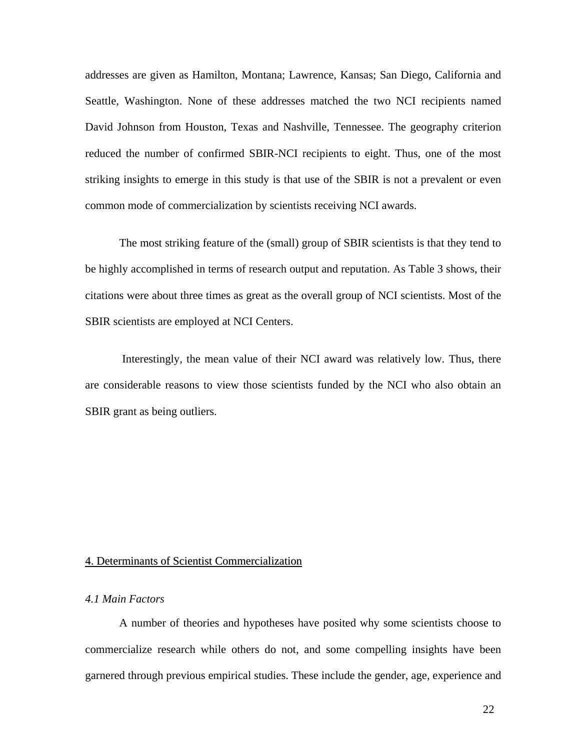<span id="page-21-0"></span>addresses are given as Hamilton, Montana; Lawrence, Kansas; San Diego, California and Seattle, Washington. None of these addresses matched the two NCI recipients named David Johnson from Houston, Texas and Nashville, Tennessee. The geography criterion reduced the number of confirmed SBIR-NCI recipients to eight. Thus, one of the most striking insights to emerge in this study is that use of the SBIR is not a prevalent or even common mode of commercialization by scientists receiving NCI awards.

The most striking feature of the (small) group of SBIR scientists is that they tend to be highly accomplished in terms of research output and reputation. As Table 3 shows, their citations were about three times as great as the overall group of NCI scientists. Most of the SBIR scientists are employed at NCI Centers.

 Interestingly, the mean value of their NCI award was relatively low. Thus, there are considerable reasons to view those scientists funded by the NCI who also obtain an SBIR grant as being outliers.

#### 4. Determinants of Scientist Commercialization

#### *4.1 Main Factors*

A number of theories and hypotheses have posited why some scientists choose to commercialize research while others do not, and some compelling insights have been garnered through previous empirical studies. These include the gender, age, experience and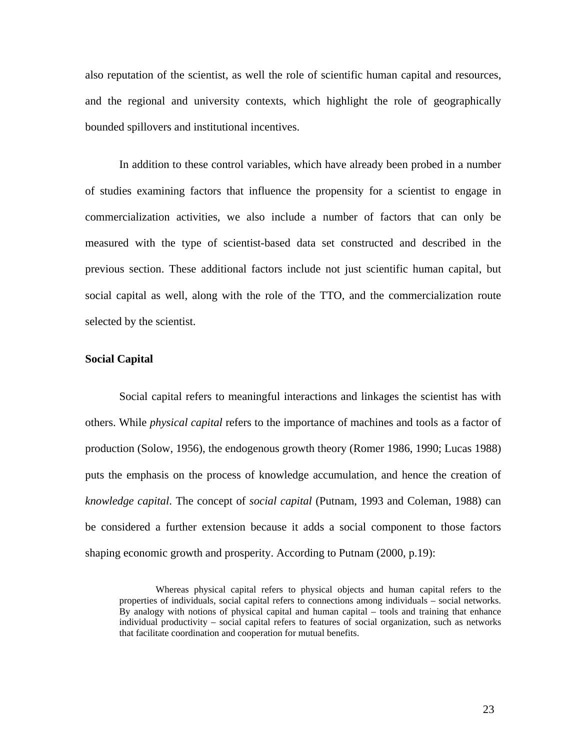<span id="page-22-0"></span>also reputation of the scientist, as well the role of scientific human capital and resources, and the regional and university contexts, which highlight the role of geographically bounded spillovers and institutional incentives.

In addition to these control variables, which have already been probed in a number of studies examining factors that influence the propensity for a scientist to engage in commercialization activities, we also include a number of factors that can only be measured with the type of scientist-based data set constructed and described in the previous section. These additional factors include not just scientific human capital, but social capital as well, along with the role of the TTO, and the commercialization route selected by the scientist.

### **Social Capital**

Social capital refers to meaningful interactions and linkages the scientist has with others. While *physical capital* refers to the importance of machines and tools as a factor of production (Solow, 1956), the endogenous growth theory (Romer 1986, 1990; Lucas 1988) puts the emphasis on the process of knowledge accumulation, and hence the creation of *knowledge capital*. The concept of *social capital* (Putnam, 1993 and Coleman, 1988) can be considered a further extension because it adds a social component to those factors shaping economic growth and prosperity. According to Putnam (2000, p.19):

Whereas physical capital refers to physical objects and human capital refers to the properties of individuals, social capital refers to connections among individuals – social networks. By analogy with notions of physical capital and human capital – tools and training that enhance individual productivity – social capital refers to features of social organization, such as networks that facilitate coordination and cooperation for mutual benefits.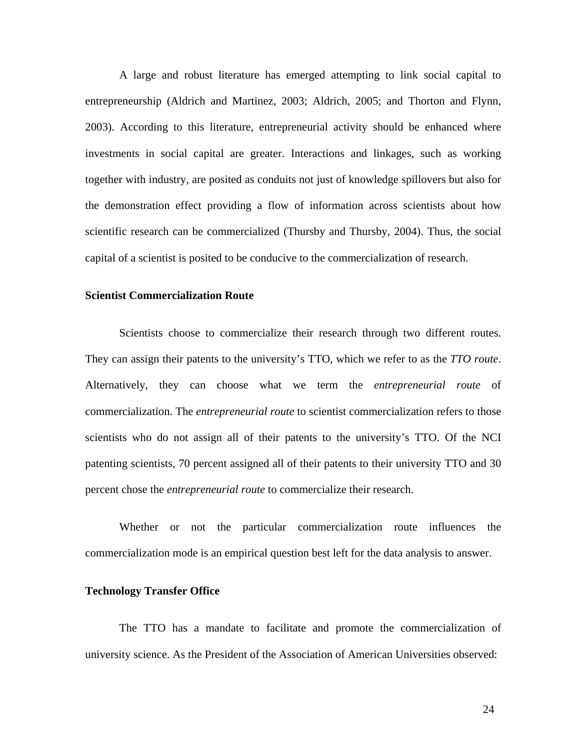<span id="page-23-0"></span>A large and robust literature has emerged attempting to link social capital to entrepreneurship (Aldrich and Martinez, 2003; Aldrich, 2005; and Thorton and Flynn, 2003). According to this literature, entrepreneurial activity should be enhanced where investments in social capital are greater. Interactions and linkages, such as working together with industry, are posited as conduits not just of knowledge spillovers but also for the demonstration effect providing a flow of information across scientists about how scientific research can be commercialized (Thursby and Thursby, 2004). Thus, the social capital of a scientist is posited to be conducive to the commercialization of research.

#### **Scientist Commercialization Route**

 Scientists choose to commercialize their research through two different routes. They can assign their patents to the university's TTO, which we refer to as the *TTO route*. Alternatively, they can choose what we term the *entrepreneurial route* of commercialization. The *entrepreneurial route* to scientist commercialization refers to those scientists who do not assign all of their patents to the university's TTO. Of the NCI patenting scientists, 70 percent assigned all of their patents to their university TTO and 30 percent chose the *entrepreneurial route* to commercialize their research.

 Whether or not the particular commercialization route influences the commercialization mode is an empirical question best left for the data analysis to answer.

#### **Technology Transfer Office**

The TTO has a mandate to facilitate and promote the commercialization of university science. As the President of the Association of American Universities observed: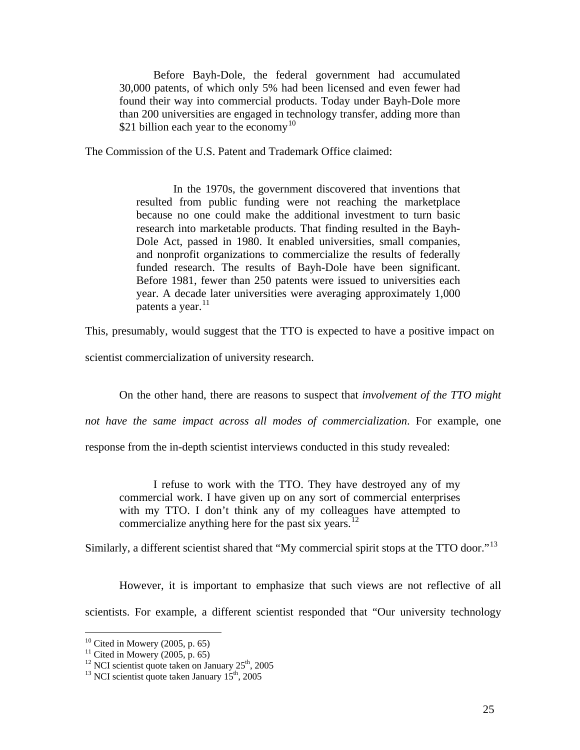Before Bayh-Dole, the federal government had accumulated 30,000 patents, of which only 5% had been licensed and even fewer had found their way into commercial products. Today under Bayh-Dole more than 200 universities are engaged in technology transfer, adding more than \$21 billion each year to the economy<sup>[10](#page-24-0)</sup>

The Commission of the U.S. Patent and Trademark Office claimed:

 In the 1970s, the government discovered that inventions that resulted from public funding were not reaching the marketplace because no one could make the additional investment to turn basic research into marketable products. That finding resulted in the Bayh-Dole Act, passed in 1980. It enabled universities, small companies, and nonprofit organizations to commercialize the results of federally funded research. The results of Bayh-Dole have been significant. Before 1981, fewer than 250 patents were issued to universities each year. A decade later universities were averaging approximately 1,000 patents a year. $^{11}$  $^{11}$  $^{11}$ 

This, presumably, would suggest that the TTO is expected to have a positive impact on

scientist commercialization of university research.

On the other hand, there are reasons to suspect that *involvement of the TTO might* 

*not have the same impact across all modes of commercialization*. For example, one

response from the in-depth scientist interviews conducted in this study revealed:

I refuse to work with the TTO. They have destroyed any of my commercial work. I have given up on any sort of commercial enterprises with my TTO. I don't think any of my colleagues have attempted to commercialize anything here for the past six years.<sup>[12](#page-24-2)</sup>

Similarly, a different scientist shared that "My commercial spirit stops at the TTO door."<sup>[13](#page-24-3)</sup>

 However, it is important to emphasize that such views are not reflective of all scientists. For example, a different scientist responded that "Our university technology

 $\overline{a}$ 

 $10$  Cited in Mowery (2005, p. 65)

<span id="page-24-1"></span><span id="page-24-0"></span><sup>&</sup>lt;sup>11</sup> Cited in Mowery (2005, p. 65)

<span id="page-24-3"></span><span id="page-24-2"></span><sup>&</sup>lt;sup>12</sup> NCI scientist quote taken on January  $25^{th}$ , 2005<br><sup>13</sup> NCI scientist quote taken January  $15^{th}$ , 2005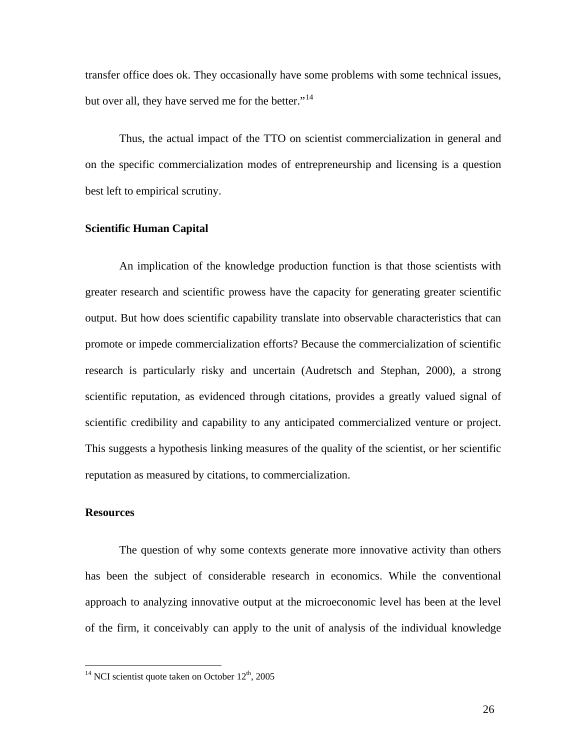<span id="page-25-0"></span>transfer office does ok. They occasionally have some problems with some technical issues, but over all, they have served me for the better."<sup>[14](#page-25-1)</sup>

 Thus, the actual impact of the TTO on scientist commercialization in general and on the specific commercialization modes of entrepreneurship and licensing is a question best left to empirical scrutiny.

### **Scientific Human Capital**

An implication of the knowledge production function is that those scientists with greater research and scientific prowess have the capacity for generating greater scientific output. But how does scientific capability translate into observable characteristics that can promote or impede commercialization efforts? Because the commercialization of scientific research is particularly risky and uncertain (Audretsch and Stephan, 2000), a strong scientific reputation, as evidenced through citations, provides a greatly valued signal of scientific credibility and capability to any anticipated commercialized venture or project. This suggests a hypothesis linking measures of the quality of the scientist, or her scientific reputation as measured by citations, to commercialization.

### **Resources**

 $\overline{a}$ 

The question of why some contexts generate more innovative activity than others has been the subject of considerable research in economics. While the conventional approach to analyzing innovative output at the microeconomic level has been at the level of the firm, it conceivably can apply to the unit of analysis of the individual knowledge

<span id="page-25-1"></span><sup>&</sup>lt;sup>14</sup> NCI scientist quote taken on October  $12<sup>th</sup>$ , 2005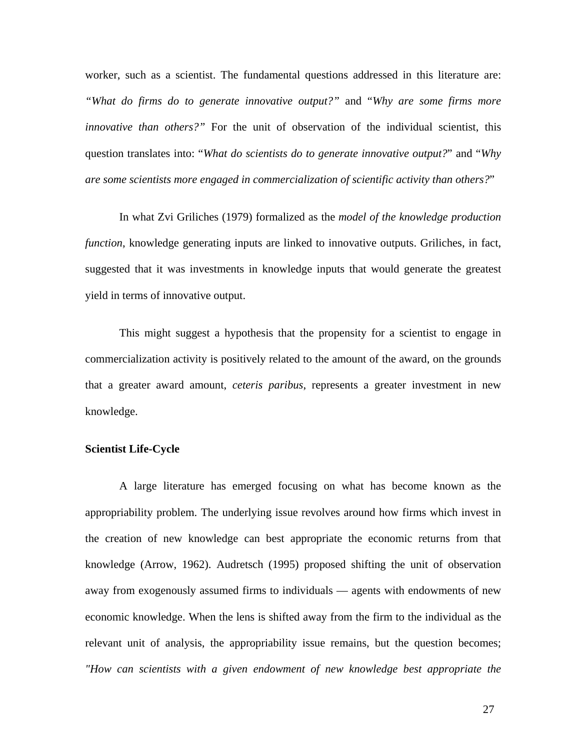<span id="page-26-0"></span>worker, such as a scientist. The fundamental questions addressed in this literature are: *"What do firms do to generate innovative output?"* and "*Why are some firms more innovative than others?"* For the unit of observation of the individual scientist, this question translates into: "*What do scientists do to generate innovative output?*" and "*Why are some scientists more engaged in commercialization of scientific activity than others?*"

In what Zvi Griliches (1979) formalized as the *model of the knowledge production function*, knowledge generating inputs are linked to innovative outputs. Griliches, in fact, suggested that it was investments in knowledge inputs that would generate the greatest yield in terms of innovative output.

This might suggest a hypothesis that the propensity for a scientist to engage in commercialization activity is positively related to the amount of the award, on the grounds that a greater award amount, *ceteris paribus*, represents a greater investment in new knowledge.

#### **Scientist Life-Cycle**

A large literature has emerged focusing on what has become known as the appropriability problem. The underlying issue revolves around how firms which invest in the creation of new knowledge can best appropriate the economic returns from that knowledge (Arrow, 1962). Audretsch (1995) proposed shifting the unit of observation away from exogenously assumed firms to individuals — agents with endowments of new economic knowledge. When the lens is shifted away from the firm to the individual as the relevant unit of analysis, the appropriability issue remains, but the question becomes; *"How can scientists with a given endowment of new knowledge best appropriate the*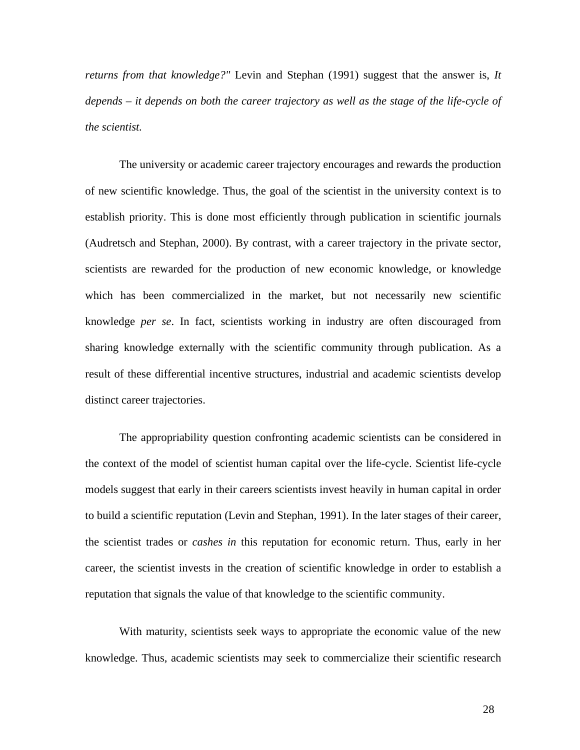*returns from that knowledge?"* Levin and Stephan (1991) suggest that the answer is, *It depends – it depends on both the career trajectory as well as the stage of the life-cycle of the scientist.* 

The university or academic career trajectory encourages and rewards the production of new scientific knowledge. Thus, the goal of the scientist in the university context is to establish priority. This is done most efficiently through publication in scientific journals (Audretsch and Stephan, 2000). By contrast, with a career trajectory in the private sector, scientists are rewarded for the production of new economic knowledge, or knowledge which has been commercialized in the market, but not necessarily new scientific knowledge *per se*. In fact, scientists working in industry are often discouraged from sharing knowledge externally with the scientific community through publication. As a result of these differential incentive structures, industrial and academic scientists develop distinct career trajectories.

The appropriability question confronting academic scientists can be considered in the context of the model of scientist human capital over the life-cycle. Scientist life-cycle models suggest that early in their careers scientists invest heavily in human capital in order to build a scientific reputation (Levin and Stephan, 1991). In the later stages of their career, the scientist trades or *cashes in* this reputation for economic return. Thus, early in her career, the scientist invests in the creation of scientific knowledge in order to establish a reputation that signals the value of that knowledge to the scientific community.

With maturity, scientists seek ways to appropriate the economic value of the new knowledge. Thus, academic scientists may seek to commercialize their scientific research

28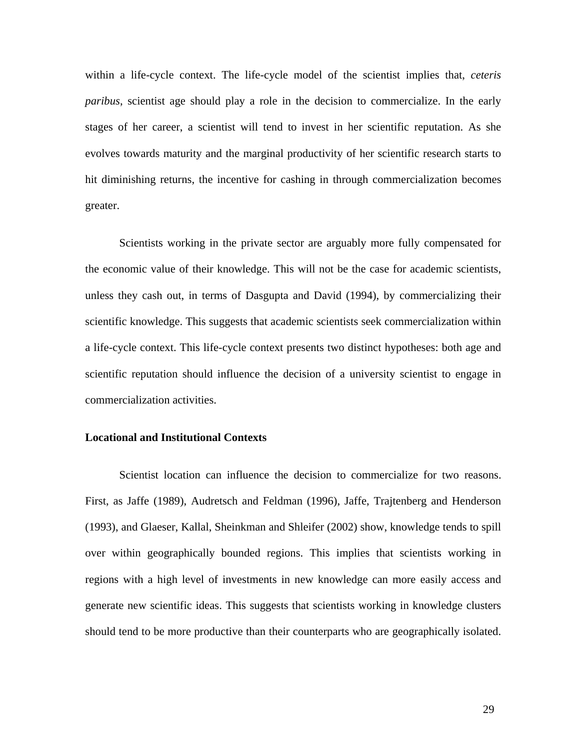<span id="page-28-0"></span>within a life-cycle context. The life-cycle model of the scientist implies that, *ceteris paribus*, scientist age should play a role in the decision to commercialize. In the early stages of her career, a scientist will tend to invest in her scientific reputation. As she evolves towards maturity and the marginal productivity of her scientific research starts to hit diminishing returns, the incentive for cashing in through commercialization becomes greater.

Scientists working in the private sector are arguably more fully compensated for the economic value of their knowledge. This will not be the case for academic scientists, unless they cash out, in terms of Dasgupta and David (1994), by commercializing their scientific knowledge. This suggests that academic scientists seek commercialization within a life-cycle context. This life-cycle context presents two distinct hypotheses: both age and scientific reputation should influence the decision of a university scientist to engage in commercialization activities.

#### **Locational and Institutional Contexts**

Scientist location can influence the decision to commercialize for two reasons. First, as Jaffe (1989), Audretsch and Feldman (1996), Jaffe, Trajtenberg and Henderson (1993), and Glaeser, Kallal, Sheinkman and Shleifer (2002) show, knowledge tends to spill over within geographically bounded regions. This implies that scientists working in regions with a high level of investments in new knowledge can more easily access and generate new scientific ideas. This suggests that scientists working in knowledge clusters should tend to be more productive than their counterparts who are geographically isolated.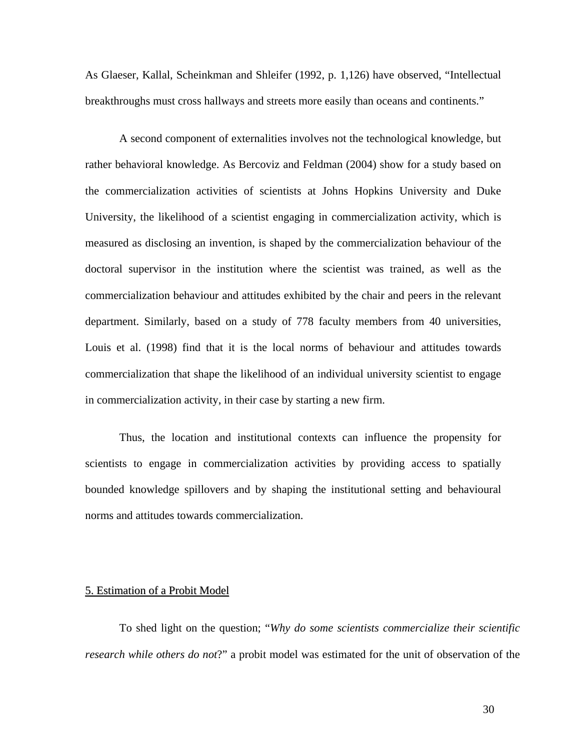<span id="page-29-0"></span>As Glaeser, Kallal, Scheinkman and Shleifer (1992, p. 1,126) have observed, "Intellectual breakthroughs must cross hallways and streets more easily than oceans and continents."

A second component of externalities involves not the technological knowledge, but rather behavioral knowledge. As Bercoviz and Feldman (2004) show for a study based on the commercialization activities of scientists at Johns Hopkins University and Duke University, the likelihood of a scientist engaging in commercialization activity, which is measured as disclosing an invention, is shaped by the commercialization behaviour of the doctoral supervisor in the institution where the scientist was trained, as well as the commercialization behaviour and attitudes exhibited by the chair and peers in the relevant department. Similarly, based on a study of 778 faculty members from 40 universities, Louis et al. (1998) find that it is the local norms of behaviour and attitudes towards commercialization that shape the likelihood of an individual university scientist to engage in commercialization activity, in their case by starting a new firm.

Thus, the location and institutional contexts can influence the propensity for scientists to engage in commercialization activities by providing access to spatially bounded knowledge spillovers and by shaping the institutional setting and behavioural norms and attitudes towards commercialization.

#### 5. Estimation of a Probit Model

To shed light on the question; "*Why do some scientists commercialize their scientific research while others do not*?" a probit model was estimated for the unit of observation of the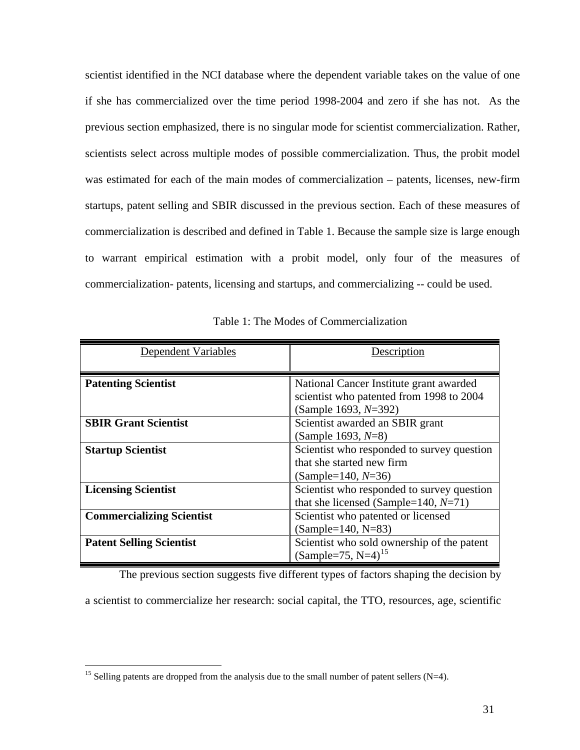<span id="page-30-0"></span>scientist identified in the NCI database where the dependent variable takes on the value of one if she has commercialized over the time period 1998-2004 and zero if she has not. As the previous section emphasized, there is no singular mode for scientist commercialization. Rather, scientists select across multiple modes of possible commercialization. Thus, the probit model was estimated for each of the main modes of commercialization – patents, licenses, new-firm startups, patent selling and SBIR discussed in the previous section. Each of these measures of commercialization is described and defined in Table 1. Because the sample size is large enough to warrant empirical estimation with a probit model, only four of the measures of commercialization- patents, licensing and startups, and commercializing -- could be used.

| Dependent Variables              | Description                                                                                                 |
|----------------------------------|-------------------------------------------------------------------------------------------------------------|
| <b>Patenting Scientist</b>       | National Cancer Institute grant awarded<br>scientist who patented from 1998 to 2004<br>(Sample 1693, N=392) |
| <b>SBIR Grant Scientist</b>      | Scientist awarded an SBIR grant<br>(Sample 1693, $N=8$ )                                                    |
| <b>Startup Scientist</b>         | Scientist who responded to survey question<br>that she started new firm<br>$(Sample=140, N=36)$             |
| <b>Licensing Scientist</b>       | Scientist who responded to survey question<br>that she licensed (Sample=140, $N=71$ )                       |
| <b>Commercializing Scientist</b> | Scientist who patented or licensed<br>$(Sample=140, N=83)$                                                  |
| <b>Patent Selling Scientist</b>  | Scientist who sold ownership of the patent<br>(Sample=75, N=4) <sup>15</sup>                                |

Table 1: The Modes of Commercialization

The previous section suggests five different types of factors shaping the decision by a scientist to commercialize her research: social capital, the TTO, resources, age, scientific

 $\overline{a}$ 

<span id="page-30-1"></span><sup>&</sup>lt;sup>15</sup> Selling patents are dropped from the analysis due to the small number of patent sellers  $(N=4)$ .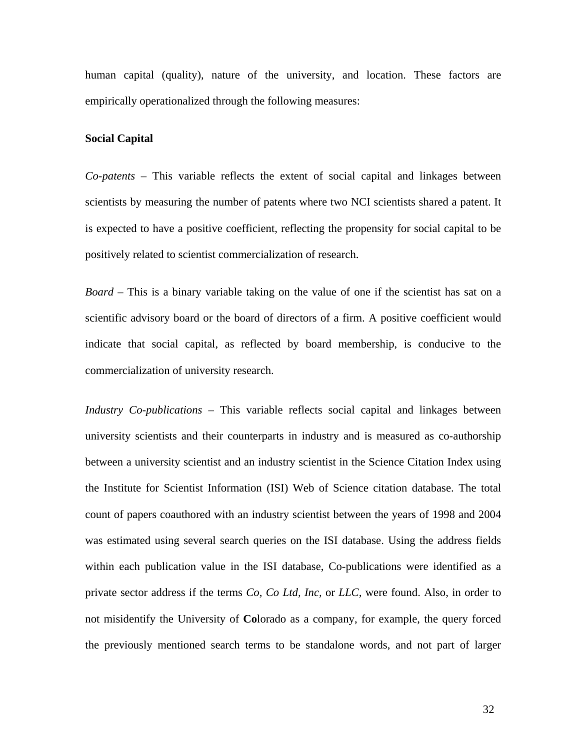<span id="page-31-0"></span>human capital (quality), nature of the university, and location. These factors are empirically operationalized through the following measures:

#### **Social Capital**

*Co-patents* – This variable reflects the extent of social capital and linkages between scientists by measuring the number of patents where two NCI scientists shared a patent. It is expected to have a positive coefficient, reflecting the propensity for social capital to be positively related to scientist commercialization of research.

*Board* – This is a binary variable taking on the value of one if the scientist has sat on a scientific advisory board or the board of directors of a firm. A positive coefficient would indicate that social capital, as reflected by board membership, is conducive to the commercialization of university research.

*Industry Co-publications* – This variable reflects social capital and linkages between university scientists and their counterparts in industry and is measured as co-authorship between a university scientist and an industry scientist in the Science Citation Index using the Institute for Scientist Information (ISI) Web of Science citation database. The total count of papers coauthored with an industry scientist between the years of 1998 and 2004 was estimated using several search queries on the ISI database. Using the address fields within each publication value in the ISI database, Co-publications were identified as a private sector address if the terms *Co, Co Ltd, Inc,* or *LLC,* were found. Also, in order to not misidentify the University of **Co**lorado as a company, for example, the query forced the previously mentioned search terms to be standalone words, and not part of larger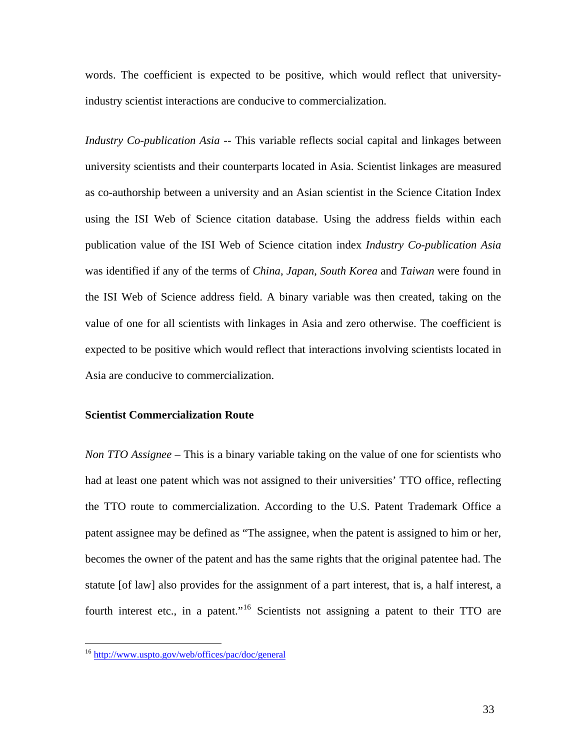<span id="page-32-0"></span>words. The coefficient is expected to be positive, which would reflect that universityindustry scientist interactions are conducive to commercialization.

*Industry Co-publication Asia* -- This variable reflects social capital and linkages between university scientists and their counterparts located in Asia. Scientist linkages are measured as co-authorship between a university and an Asian scientist in the Science Citation Index using the ISI Web of Science citation database. Using the address fields within each publication value of the ISI Web of Science citation index *Industry Co-publication Asia* was identified if any of the terms of *China*, *Japan*, *South Korea* and *Taiwan* were found in the ISI Web of Science address field. A binary variable was then created, taking on the value of one for all scientists with linkages in Asia and zero otherwise. The coefficient is expected to be positive which would reflect that interactions involving scientists located in Asia are conducive to commercialization.

#### **Scientist Commercialization Route**

*Non TTO Assignee –* This is a binary variable taking on the value of one for scientists who had at least one patent which was not assigned to their universities' TTO office, reflecting the TTO route to commercialization. According to the U.S. Patent Trademark Office a patent assignee may be defined as "The assignee, when the patent is assigned to him or her, becomes the owner of the patent and has the same rights that the original patentee had. The statute [of law] also provides for the assignment of a part interest, that is, a half interest, a fourth interest etc., in a patent."<sup>[16](#page-32-1)</sup> Scientists not assigning a patent to their TTO are

 $\overline{a}$ 

<span id="page-32-1"></span><sup>&</sup>lt;sup>16</sup> <http://www.uspto.gov/web/offices/pac/doc/general>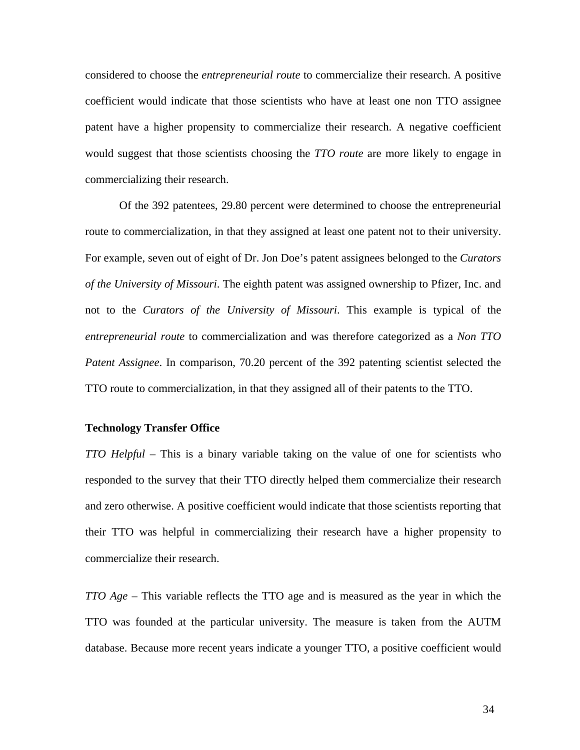<span id="page-33-0"></span>considered to choose the *entrepreneurial route* to commercialize their research. A positive coefficient would indicate that those scientists who have at least one non TTO assignee patent have a higher propensity to commercialize their research. A negative coefficient would suggest that those scientists choosing the *TTO route* are more likely to engage in commercializing their research.

 Of the 392 patentees, 29.80 percent were determined to choose the entrepreneurial route to commercialization, in that they assigned at least one patent not to their university. For example, seven out of eight of Dr. Jon Doe's patent assignees belonged to the *Curators of the University of Missouri*. The eighth patent was assigned ownership to Pfizer, Inc. and not to the *Curators of the University of Missouri*. This example is typical of the *entrepreneurial route* to commercialization and was therefore categorized as a *Non TTO Patent Assignee*. In comparison, 70.20 percent of the 392 patenting scientist selected the TTO route to commercialization, in that they assigned all of their patents to the TTO.

#### **Technology Transfer Office**

*TTO Helpful* – This is a binary variable taking on the value of one for scientists who responded to the survey that their TTO directly helped them commercialize their research and zero otherwise. A positive coefficient would indicate that those scientists reporting that their TTO was helpful in commercializing their research have a higher propensity to commercialize their research.

*TTO Age* – This variable reflects the TTO age and is measured as the year in which the TTO was founded at the particular university. The measure is taken from the AUTM database. Because more recent years indicate a younger TTO, a positive coefficient would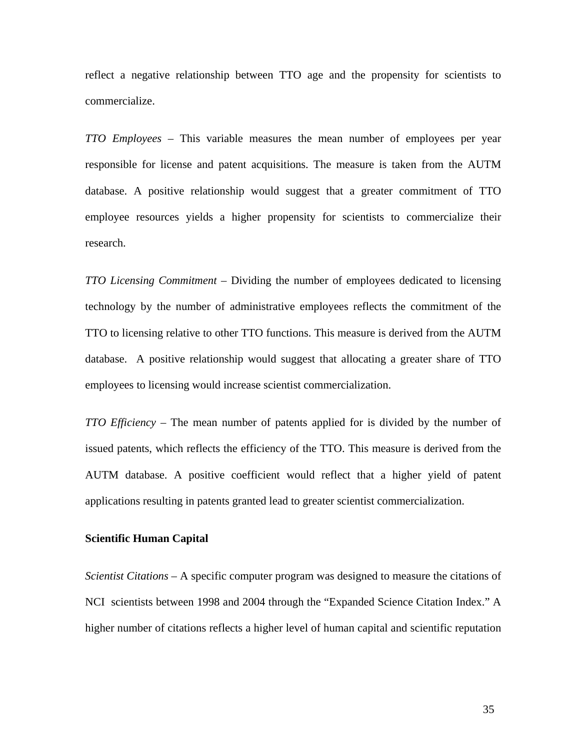<span id="page-34-0"></span>reflect a negative relationship between TTO age and the propensity for scientists to commercialize.

*TTO Employees* – This variable measures the mean number of employees per year responsible for license and patent acquisitions. The measure is taken from the AUTM database. A positive relationship would suggest that a greater commitment of TTO employee resources yields a higher propensity for scientists to commercialize their research.

*TTO Licensing Commitment* – Dividing the number of employees dedicated to licensing technology by the number of administrative employees reflects the commitment of the TTO to licensing relative to other TTO functions. This measure is derived from the AUTM database. A positive relationship would suggest that allocating a greater share of TTO employees to licensing would increase scientist commercialization.

*TTO Efficiency* – The mean number of patents applied for is divided by the number of issued patents, which reflects the efficiency of the TTO. This measure is derived from the AUTM database. A positive coefficient would reflect that a higher yield of patent applications resulting in patents granted lead to greater scientist commercialization.

#### **Scientific Human Capital**

*Scientist Citations* – A specific computer program was designed to measure the citations of NCI scientists between 1998 and 2004 through the "Expanded Science Citation Index." A higher number of citations reflects a higher level of human capital and scientific reputation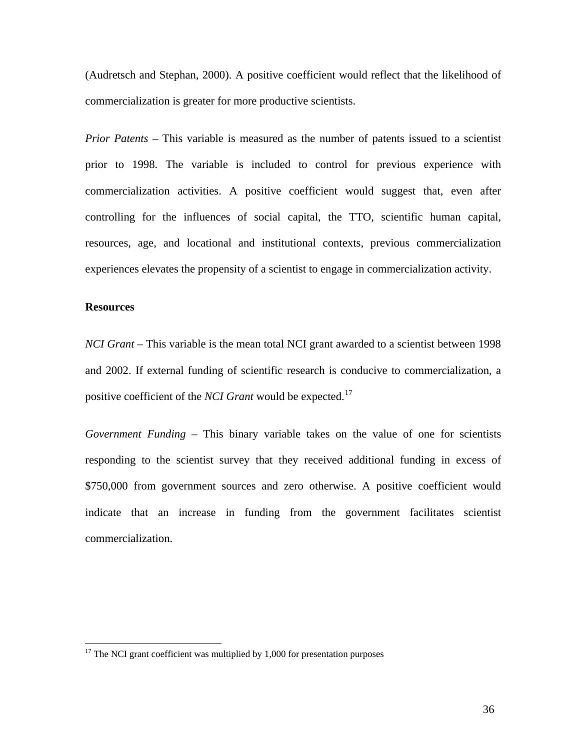<span id="page-35-0"></span>(Audretsch and Stephan, 2000). A positive coefficient would reflect that the likelihood of commercialization is greater for more productive scientists.

*Prior Patents* – This variable is measured as the number of patents issued to a scientist prior to 1998. The variable is included to control for previous experience with commercialization activities. A positive coefficient would suggest that, even after controlling for the influences of social capital, the TTO, scientific human capital, resources, age, and locational and institutional contexts, previous commercialization experiences elevates the propensity of a scientist to engage in commercialization activity.

#### **Resources**

 $\overline{a}$ 

*NCI Grant* – This variable is the mean total NCI grant awarded to a scientist between 1998 and 2002. If external funding of scientific research is conducive to commercialization, a positive coefficient of the *NCI Grant* would be expected.<sup>[17](#page-35-1)</sup>

*Government Funding* – This binary variable takes on the value of one for scientists responding to the scientist survey that they received additional funding in excess of \$750,000 from government sources and zero otherwise. A positive coefficient would indicate that an increase in funding from the government facilitates scientist commercialization.

<span id="page-35-1"></span> $17$  The NCI grant coefficient was multiplied by 1,000 for presentation purposes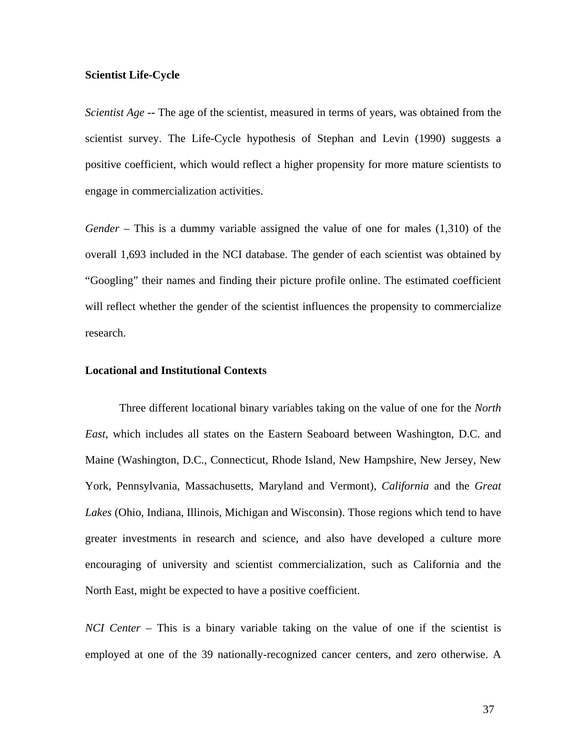#### <span id="page-36-0"></span>**Scientist Life-Cycle**

*Scientist Age* **--** The age of the scientist, measured in terms of years, was obtained from the scientist survey. The Life-Cycle hypothesis of Stephan and Levin (1990) suggests a positive coefficient, which would reflect a higher propensity for more mature scientists to engage in commercialization activities.

*Gender –* This is a dummy variable assigned the value of one for males (1,310) of the overall 1,693 included in the NCI database. The gender of each scientist was obtained by "Googling" their names and finding their picture profile online. The estimated coefficient will reflect whether the gender of the scientist influences the propensity to commercialize research.

#### **Locational and Institutional Contexts**

Three different locational binary variables taking on the value of one for the *North East*, which includes all states on the Eastern Seaboard between Washington, D.C. and Maine (Washington, D.C., Connecticut, Rhode Island, New Hampshire, New Jersey, New York, Pennsylvania, Massachusetts, Maryland and Vermont), *California* and the *Great Lakes* (Ohio, Indiana, Illinois, Michigan and Wisconsin). Those regions which tend to have greater investments in research and science, and also have developed a culture more encouraging of university and scientist commercialization, such as California and the North East, might be expected to have a positive coefficient.

*NCI Center* – This is a binary variable taking on the value of one if the scientist is employed at one of the 39 nationally-recognized cancer centers, and zero otherwise. A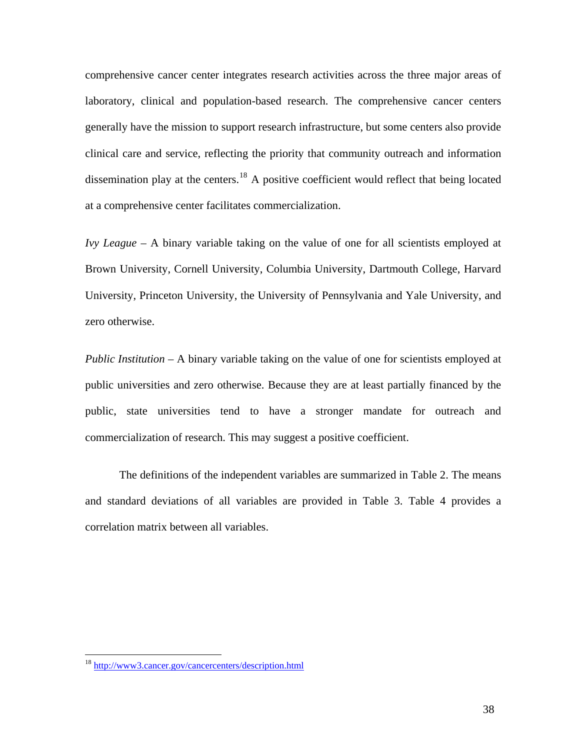comprehensive cancer center integrates research activities across the three major areas of laboratory, clinical and population-based research. The comprehensive cancer centers generally have the mission to support research infrastructure, but some centers also provide clinical care and service, reflecting the priority that community outreach and information dissemination play at the centers.<sup>[18](#page-37-0)</sup> A positive coefficient would reflect that being located at a comprehensive center facilitates commercialization.

*Ivy League* – A binary variable taking on the value of one for all scientists employed at Brown University, Cornell University, Columbia University, Dartmouth College, Harvard University, Princeton University, the University of Pennsylvania and Yale University, and zero otherwise.

*Public Institution* – A binary variable taking on the value of one for scientists employed at public universities and zero otherwise. Because they are at least partially financed by the public, state universities tend to have a stronger mandate for outreach and commercialization of research. This may suggest a positive coefficient.

 The definitions of the independent variables are summarized in Table 2. The means and standard deviations of all variables are provided in Table 3. Table 4 provides a correlation matrix between all variables.

 $\overline{a}$ 

<span id="page-37-0"></span><sup>&</sup>lt;sup>18</sup> <http://www3.cancer.gov/cancercenters/description.html>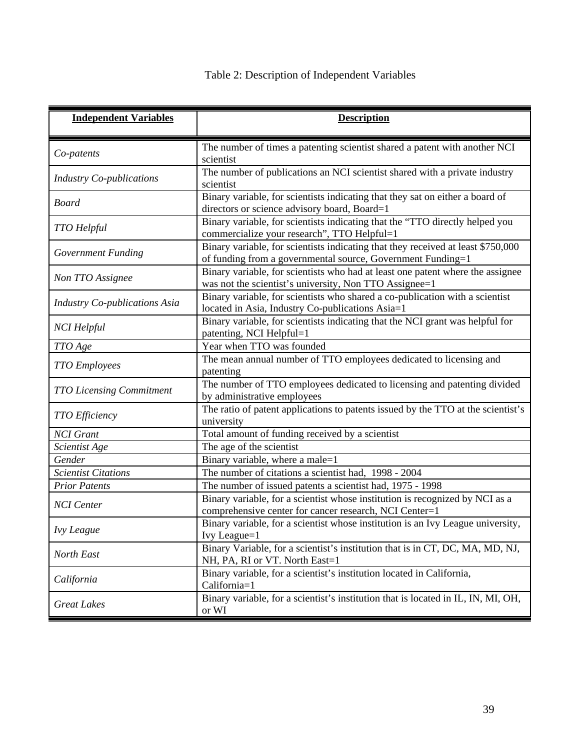| Table 2: Description of Independent Variables |  |  |
|-----------------------------------------------|--|--|
|-----------------------------------------------|--|--|

<span id="page-38-0"></span>

| <b>Independent Variables</b>         | <b>Description</b>                                                                                                                              |
|--------------------------------------|-------------------------------------------------------------------------------------------------------------------------------------------------|
| Co-patents                           | The number of times a patenting scientist shared a patent with another NCI<br>scientist                                                         |
| <b>Industry Co-publications</b>      | The number of publications an NCI scientist shared with a private industry<br>scientist                                                         |
| <b>Board</b>                         | Binary variable, for scientists indicating that they sat on either a board of<br>directors or science advisory board, Board=1                   |
| <b>TTO Helpful</b>                   | Binary variable, for scientists indicating that the "TTO directly helped you<br>commercialize your research", TTO Helpful=1                     |
| Government Funding                   | Binary variable, for scientists indicating that they received at least \$750,000<br>of funding from a governmental source, Government Funding=1 |
| Non TTO Assignee                     | Binary variable, for scientists who had at least one patent where the assignee<br>was not the scientist's university, Non TTO Assignee=1        |
| <b>Industry Co-publications Asia</b> | Binary variable, for scientists who shared a co-publication with a scientist<br>located in Asia, Industry Co-publications Asia=1                |
| <b>NCI Helpful</b>                   | Binary variable, for scientists indicating that the NCI grant was helpful for<br>patenting, NCI Helpful=1                                       |
| TTO Age                              | Year when TTO was founded                                                                                                                       |
| <b>TTO</b> Employees                 | The mean annual number of TTO employees dedicated to licensing and<br>patenting                                                                 |
| <b>TTO Licensing Commitment</b>      | The number of TTO employees dedicated to licensing and patenting divided<br>by administrative employees                                         |
| TTO Efficiency                       | The ratio of patent applications to patents issued by the TTO at the scientist's<br>university                                                  |
| <b>NCI</b> Grant                     | Total amount of funding received by a scientist                                                                                                 |
| Scientist Age                        | The age of the scientist                                                                                                                        |
| Gender                               | Binary variable, where a male=1                                                                                                                 |
| <b>Scientist Citations</b>           | The number of citations a scientist had, 1998 - 2004                                                                                            |
| <b>Prior Patents</b>                 | The number of issued patents a scientist had, 1975 - 1998                                                                                       |
| <b>NCI</b> Center                    | Binary variable, for a scientist whose institution is recognized by NCI as a<br>comprehensive center for cancer research, NCI Center=1          |
| Ivy League                           | Binary variable, for a scientist whose institution is an Ivy League university,<br>Ivy League=1                                                 |
| North East                           | Binary Variable, for a scientist's institution that is in CT, DC, MA, MD, NJ,<br>NH, PA, RI or VT. North East=1                                 |
| California                           | Binary variable, for a scientist's institution located in California,<br>California=1                                                           |
| <b>Great Lakes</b>                   | Binary variable, for a scientist's institution that is located in IL, IN, MI, OH,<br>or WI                                                      |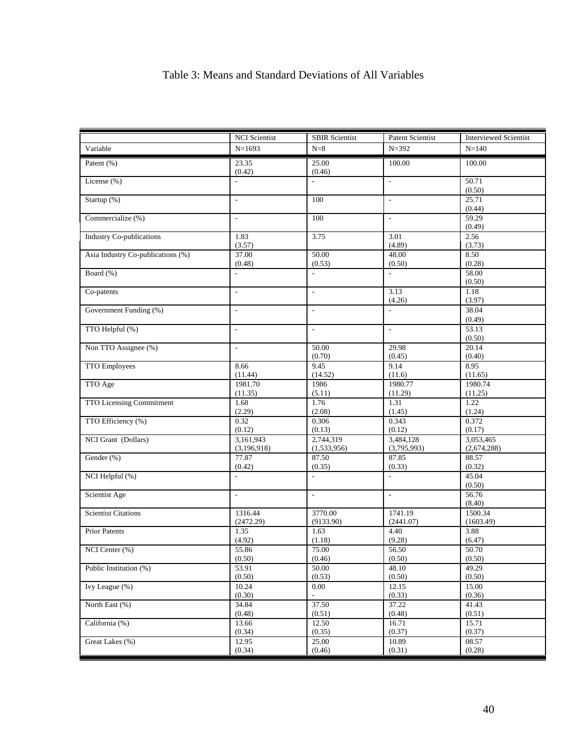## Table 3: Means and Standard Deviations of All Variables

<span id="page-39-0"></span>

|                                   | <b>NCI</b> Scientist     | <b>SBIR Scientist</b>    | Patent Scientist         | <b>Interviewed Scientist</b> |
|-----------------------------------|--------------------------|--------------------------|--------------------------|------------------------------|
| Variable                          | $N=1693$                 | $N=8$                    | $N = 392$                | $N = 140$                    |
| Patent (%)                        | 23.35                    | 25.00                    | 100.00                   | 100.00                       |
|                                   | (0.42)                   | (0.46)                   |                          |                              |
| License (%)                       | $\overline{a}$           | $\overline{a}$           | $\overline{\phantom{a}}$ | 50.71                        |
|                                   |                          |                          |                          | (0.50)                       |
| Startup (%)                       | $\mathbb{Z}^2$           | 100                      | $\mathcal{L}$            | 25.71<br>(0.44)              |
| Commercialize (%)                 | $\overline{a}$           | 100                      | $\overline{a}$           | 59.29                        |
|                                   |                          |                          |                          | (0.49)                       |
| <b>Industry Co-publications</b>   | 1.83                     | 3.75                     | 3.01                     | 2.56                         |
|                                   | (3.57)                   |                          | (4.89)                   | (3.73)                       |
| Asia Industry Co-publications (%) | 37.00<br>(0.48)          | 50.00<br>(0.53)          | 48.00<br>(0.50)          | 8.50<br>(0.28)               |
| Board (%)                         | $\overline{\phantom{a}}$ | $\frac{1}{2}$            | $\omega$                 | 58.00                        |
|                                   |                          |                          |                          | (0.50)                       |
| Co-patents                        | $\overline{\phantom{a}}$ | ÷,                       | 3.13                     | 1.18                         |
|                                   |                          |                          | (4.26)                   | (3.97)                       |
| Government Funding (%)            | $\sim$                   | $\sim$                   | $\overline{a}$           | 38.04                        |
|                                   |                          |                          |                          | (0.49)                       |
| TTO Helpful (%)                   | $\overline{\phantom{a}}$ | $\overline{\phantom{a}}$ | $\omega$                 | 53.13<br>(0.50)              |
| Non TTO Assignee (%)              | $\overline{a}$           | 50.00                    | 29.98                    | 20.14                        |
|                                   |                          | (0.70)                   | (0.45)                   | (0.40)                       |
| <b>TTO</b> Employees              | 8.66                     | 9.45                     | 9.14                     | 8.95                         |
|                                   | (11.44)                  | (14.52)                  | (11.6)                   | (11.65)                      |
| TTO Age                           | 1981.70<br>(11.35)       | 1986<br>(5.11)           | 1980.77<br>(11.29)       | 1980.74<br>(11.25)           |
| <b>TTO Licensing Commitment</b>   | 1.68                     | 1.76                     | 1.31                     | 1.22                         |
|                                   | (2.29)                   | (2.08)                   | (1.45)                   | (1.24)                       |
| TTO Efficiency (%)                | 0.32                     | 0.306                    | 0.343                    | 0.372                        |
|                                   | (0.12)                   | (0.13)                   | (0.12)                   | (0.17)                       |
| NCI Grant (Dollars)               | 3,161,943<br>(3,196,918) | 2,744,319                | 3,484,128                | 3,053,465                    |
| Gender (%)                        | 77.87                    | (1,533,956)<br>87.50     | (3,795,993)<br>87.85     | (2,674,288)<br>88.57         |
|                                   | (0.42)                   | (0.35)                   | (0.33)                   | (0.32)                       |
| NCI Helpful (%)                   | $\frac{1}{2}$            | $\overline{a}$           | $\overline{\phantom{a}}$ | 45.04                        |
|                                   |                          |                          |                          | (0.50)                       |
| Scientist Age                     | $\overline{\phantom{a}}$ | $\overline{\phantom{a}}$ | $\mathbf{r}$             | 56.76                        |
| <b>Scientist Citations</b>        | 1316.44                  | 3770.00                  | 1741.19                  | (8.40)<br>1500.34            |
|                                   | (2472.29)                | (9133.90)                | (2441.07)                | (1603.49)                    |
| <b>Prior Patents</b>              | 1.35                     | 1.63                     | 4.40                     | 3.88                         |
|                                   | (4.92)                   | (1.18)                   | (9.28)                   | (6.47)                       |
| NCI Center (%)                    | 55.86                    | 75.00                    | 56.50                    | 50.70                        |
| Public Institution (%)            | (0.50)<br>53.91          | (0.46)<br>50.00          | (0.50)<br>48.10          | (0.50)<br>49.29              |
|                                   | (0.50)                   | (0.53)                   | (0.50)                   | (0.50)                       |
| Ivy League (%)                    | 10.24                    | $0.00\,$                 | 12.15                    | 15.00                        |
|                                   | (0.30)                   | $\overline{a}$           | (0.33)                   | (0.36)                       |
| North East (%)                    | 34.84                    | $\frac{1}{37.50}$        | 37.22                    | 41.43                        |
| California (%)                    | (0.48)                   | (0.51)                   | (0.48)                   | (0.51)                       |
|                                   | 13.66<br>(0.34)          | 12.50<br>(0.35)          | 16.71<br>(0.37)          | 15.71<br>(0.37)              |
| Great Lakes (%)                   | 12.95                    | 25.00                    | 10.89                    | 08.57                        |
|                                   | (0.34)                   | (0.46)                   | (0.31)                   | (0.28)                       |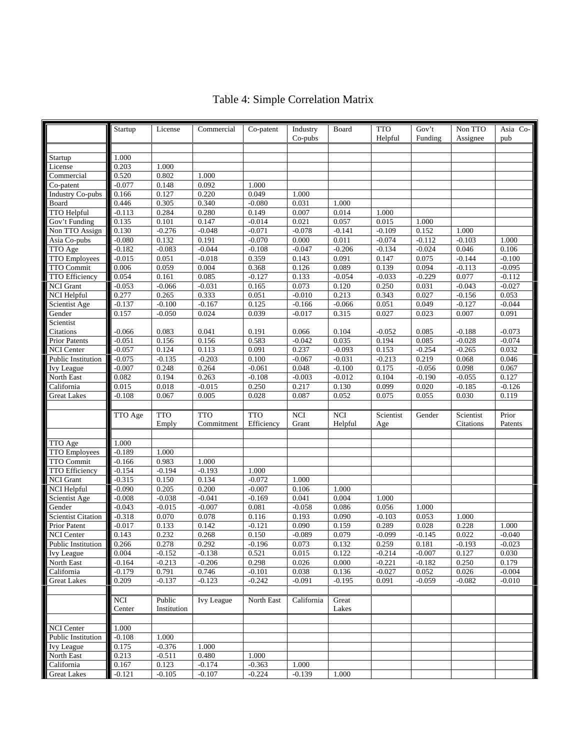<span id="page-40-0"></span>

|                           | Startup  | License     | Commercial | Co-patent  | Industry   | Board      | <b>TTO</b> | Gov't    | Non TTO   | Asia Co- |
|---------------------------|----------|-------------|------------|------------|------------|------------|------------|----------|-----------|----------|
|                           |          |             |            |            | $Co$ -pubs |            | Helpful    | Funding  | Assignee  | pub      |
|                           |          |             |            |            |            |            |            |          |           |          |
| Startup                   | 1.000    |             |            |            |            |            |            |          |           |          |
| License                   | 0.203    | 1.000       |            |            |            |            |            |          |           |          |
| Commercial                | 0.520    | 0.802       | 1.000      |            |            |            |            |          |           |          |
| Co-patent                 | $-0.077$ | 0.148       | 0.092      | 1.000      |            |            |            |          |           |          |
| <b>Industry Co-pubs</b>   | 0.166    | 0.127       | 0.220      | 0.049      | 1.000      |            |            |          |           |          |
| Board                     | 0.446    | 0.305       | 0.340      | $-0.080$   | 0.031      | 1.000      |            |          |           |          |
| <b>TTO Helpful</b>        | $-0.113$ | 0.284       | 0.280      | 0.149      | 0.007      | 0.014      | 1.000      |          |           |          |
| Gov't Funding             | 0.135    | 0.101       | 0.147      | $-0.014$   | 0.021      | 0.057      | 0.015      | 1.000    |           |          |
| Non TTO Assign            | 0.130    | $-0.276$    | $-0.048$   | $-0.071$   | $-0.078$   | $-0.141$   | $-0.109$   | 0.152    | 1.000     |          |
| Asia Co-pubs              | $-0.080$ | 0.132       | 0.191      | $-0.070$   | 0.000      | 0.011      | $-0.074$   | $-0.112$ | $-0.103$  | 1.000    |
| TTO Age                   | $-0.182$ | $-0.083$    | $-0.044$   | $-0.108$   | $-0.047$   | $-0.206$   | $-0.134$   | $-0.024$ | 0.046     | 0.106    |
| <b>TTO Employees</b>      | $-0.015$ | 0.051       | $-0.018$   | 0.359      | 0.143      | 0.091      | 0.147      | 0.075    | $-0.144$  | $-0.100$ |
| <b>TTO Commit</b>         | 0.006    | 0.059       | 0.004      | 0.368      | 0.126      | 0.089      | 0.139      | 0.094    | $-0.113$  | $-0.095$ |
| TTO Efficiency            | 0.054    | 0.161       | 0.085      | $-0.127$   | 0.133      | $-0.054$   | $-0.033$   | $-0.229$ | 0.077     | $-0.112$ |
| <b>NCI</b> Grant          | $-0.053$ | $-0.066$    | $-0.031$   | 0.165      | 0.073      | 0.120      | 0.250      | 0.031    | $-0.043$  | $-0.027$ |
| <b>NCI Helpful</b>        | 0.277    | 0.265       | 0.333      | 0.051      | $-0.010$   | 0.213      | 0.343      | 0.027    | $-0.156$  | 0.053    |
| Scientist Age             | $-0.137$ | $-0.100$    | $-0.167$   | 0.125      | $-0.166$   | $-0.066$   | 0.051      | 0.049    | $-0.127$  | $-0.044$ |
| Gender                    | 0.157    | $-0.050$    | 0.024      | 0.039      | $-0.017$   | 0.315      | 0.027      | 0.023    | 0.007     | 0.091    |
| Scientist                 |          |             |            |            |            |            |            |          |           |          |
| Citations                 | $-0.066$ | 0.083       | 0.041      | 0.191      | 0.066      | 0.104      | $-0.052$   | 0.085    | $-0.188$  | $-0.073$ |
| <b>Prior Patents</b>      | $-0.051$ | 0.156       | 0.156      | 0.583      | $-0.042$   | 0.035      | 0.194      | 0.085    | $-0.028$  | $-0.074$ |
| NCI Center                | $-0.057$ | 0.124       | 0.113      | 0.091      | 0.237      | $-0.093$   | 0.153      | $-0.254$ | $-0.265$  | 0.032    |
| <b>Public Institution</b> | $-0.075$ | $-0.135$    | $-0.203$   | 0.100      | $-0.067$   | $-0.031$   | $-0.213$   | 0.219    | 0.068     | 0.046    |
| Ivy League                | $-0.007$ | 0.248       | 0.264      | $-0.061$   | 0.048      | $-0.100$   | 0.175      | $-0.056$ | 0.098     | 0.067    |
| North East                | 0.082    | 0.194       | 0.263      | $-0.108$   | $-0.003$   | $-0.012$   | 0.104      | $-0.190$ | $-0.055$  | 0.127    |
| California                | 0.015    | 0.018       | $-0.015$   |            | 0.217      |            | 0.099      | 0.020    |           |          |
|                           |          |             |            | 0.250      |            | 0.130      |            |          | $-0.185$  | $-0.126$ |
| <b>Great Lakes</b>        | $-0.108$ | 0.067       | 0.005      | 0.028      | 0.087      | 0.052      | 0.075      | 0.055    | 0.030     | 0.119    |
|                           |          |             |            |            |            |            |            |          |           |          |
|                           | TTO Age  | <b>TTO</b>  | <b>TTO</b> | <b>TTO</b> | <b>NCI</b> | <b>NCI</b> | Scientist  | Gender   | Scientist | Prior    |
|                           |          | Emply       | Commitment | Efficiency | Grant      | Helpful    | Age        |          | Citations | Patents  |
|                           |          |             |            |            |            |            |            |          |           |          |
| TTO Age                   | 1.000    |             |            |            |            |            |            |          |           |          |
| <b>TTO</b> Employees      | $-0.189$ | 1.000       |            |            |            |            |            |          |           |          |
| TTO Commit                | $-0.166$ | 0.983       | 1.000      |            |            |            |            |          |           |          |
| <b>TTO Efficiency</b>     | $-0.154$ | $-0.194$    | $-0.193$   | 1.000      |            |            |            |          |           |          |
| <b>NCI</b> Grant          | $-0.315$ | 0.150       | 0.134      | $-0.072$   | 1.000      |            |            |          |           |          |
| <b>NCI Helpful</b>        | $-0.090$ | 0.205       | 0.200      | $-0.007$   | 0.106      | 1.000      |            |          |           |          |
| Scientist Age             | $-0.008$ | $-0.038$    | $-0.041$   | $-0.169$   | 0.041      | 0.004      | 1.000      |          |           |          |
| Gender                    | $-0.043$ | $-0.015$    | $-0.007$   | 0.081      | $-0.058$   | 0.086      | 0.056      | 1.000    |           |          |
| <b>Scientist Citation</b> | $-0.318$ | 0.070       | 0.078      | 0.116      | 0.193      | 0.090      | $-0.103$   | 0.053    | 1.000     |          |
| Prior Patent              | $-0.017$ | 0.133       | 0.142      | $-0.121$   | 0.090      | 0.159      | 0.289      | 0.028    | 0.228     | 1.000    |
| NCI Center                | 0.143    | 0.232       | 0.268      | 0.150      | $-0.089$   | 0.079      | $-0.099$   | $-0.145$ | 0.022     | $-0.040$ |
| Public Institution        | 0.266    | 0.278       | 0.292      | $-0.196$   | 0.073      | 0.132      | 0.259      | 0.181    | $-0.193$  | $-0.023$ |
| <b>Ivy League</b>         | 0.004    | $-0.152$    | $-0.138$   | 0.521      | 0.015      | 0.122      | $-0.214$   | $-0.007$ | 0.127     | 0.030    |
| North East                | $-0.164$ | $-0.213$    | $-0.206$   | 0.298      | 0.026      | 0.000      | $-0.221$   | $-0.182$ | 0.250     | 0.179    |
| California                | $-0.179$ | 0.791       | 0.746      | $-0.101$   | 0.038      | 0.136      | $-0.027$   | 0.052    | 0.026     | $-0.004$ |
| <b>Great Lakes</b>        | 0.209    | $-0.137$    | $-0.123$   | $-0.242$   | $-0.091$   | $-0.195$   | 0.091      | $-0.059$ | $-0.082$  | $-0.010$ |
|                           |          |             |            |            |            |            |            |          |           |          |
|                           | NCI      | Public      | Ivy League | North East | California | Great      |            |          |           |          |
|                           | Center   | Institution |            |            |            | Lakes      |            |          |           |          |
|                           |          |             |            |            |            |            |            |          |           |          |
| <b>NCI</b> Center         | 1.000    |             |            |            |            |            |            |          |           |          |
|                           |          |             |            |            |            |            |            |          |           |          |
| Public Institution        | $-0.108$ | 1.000       |            |            |            |            |            |          |           |          |
| <b>Ivy League</b>         | 0.175    | $-0.376$    | 1.000      |            |            |            |            |          |           |          |
| North East                | 0.213    | $-0.511$    | 0.480      | 1.000      |            |            |            |          |           |          |
| California                | 0.167    | 0.123       | $-0.174$   | $-0.363$   | 1.000      |            |            |          |           |          |
| <b>Great Lakes</b>        | $-0.121$ | $-0.105$    | $-0.107$   | $-0.224$   | $-0.139$   | 1.000      |            |          |           |          |

# Table 4: Simple Correlation Matrix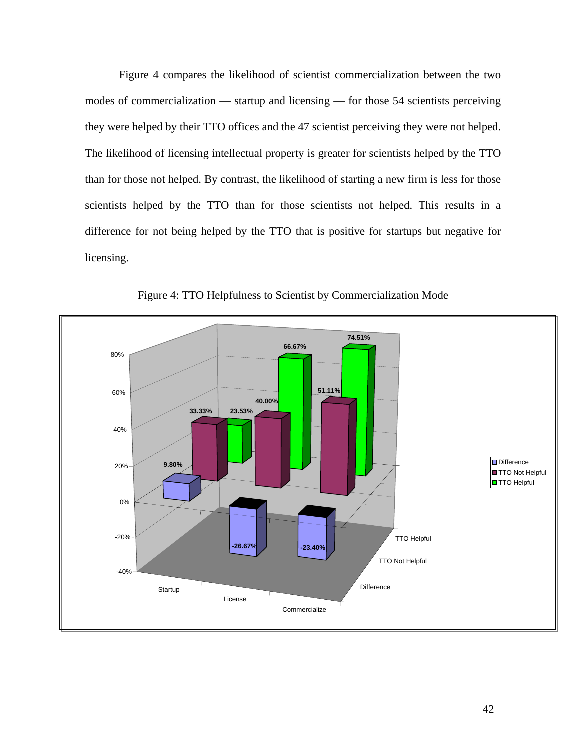<span id="page-41-0"></span>Figure 4 compares the likelihood of scientist commercialization between the two modes of commercialization — startup and licensing — for those 54 scientists perceiving they were helped by their TTO offices and the 47 scientist perceiving they were not helped. The likelihood of licensing intellectual property is greater for scientists helped by the TTO than for those not helped. By contrast, the likelihood of starting a new firm is less for those scientists helped by the TTO than for those scientists not helped. This results in a difference for not being helped by the TTO that is positive for startups but negative for licensing.



Figure 4: TTO Helpfulness to Scientist by Commercialization Mode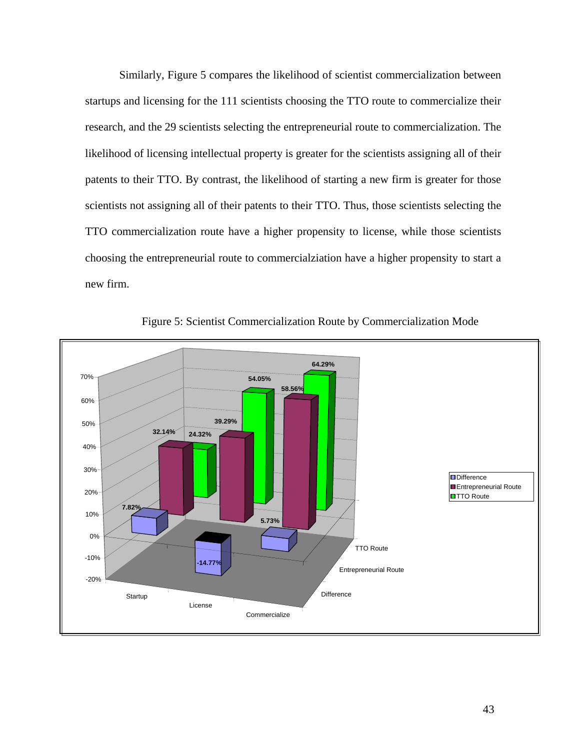<span id="page-42-0"></span>Similarly, Figure 5 compares the likelihood of scientist commercialization between startups and licensing for the 111 scientists choosing the TTO route to commercialize their research, and the 29 scientists selecting the entrepreneurial route to commercialization. The likelihood of licensing intellectual property is greater for the scientists assigning all of their patents to their TTO. By contrast, the likelihood of starting a new firm is greater for those scientists not assigning all of their patents to their TTO. Thus, those scientists selecting the TTO commercialization route have a higher propensity to license, while those scientists choosing the entrepreneurial route to commercialziation have a higher propensity to start a new firm.



Figure 5: Scientist Commercialization Route by Commercialization Mode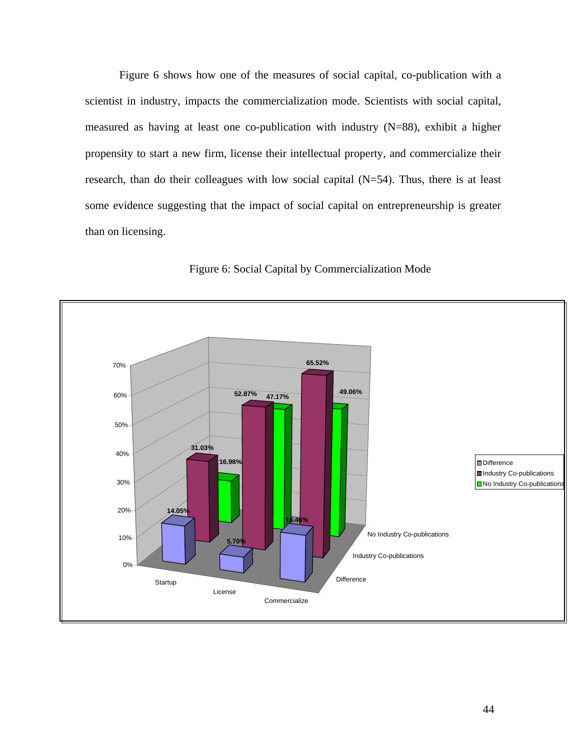<span id="page-43-0"></span>Figure 6 shows how one of the measures of social capital, co-publication with a scientist in industry, impacts the commercialization mode. Scientists with social capital, measured as having at least one co-publication with industry (N=88), exhibit a higher propensity to start a new firm, license their intellectual property, and commercialize their research, than do their colleagues with low social capital (N=54). Thus, there is at least some evidence suggesting that the impact of social capital on entrepreneurship is greater than on licensing.



Figure 6: Social Capital by Commercialization Mode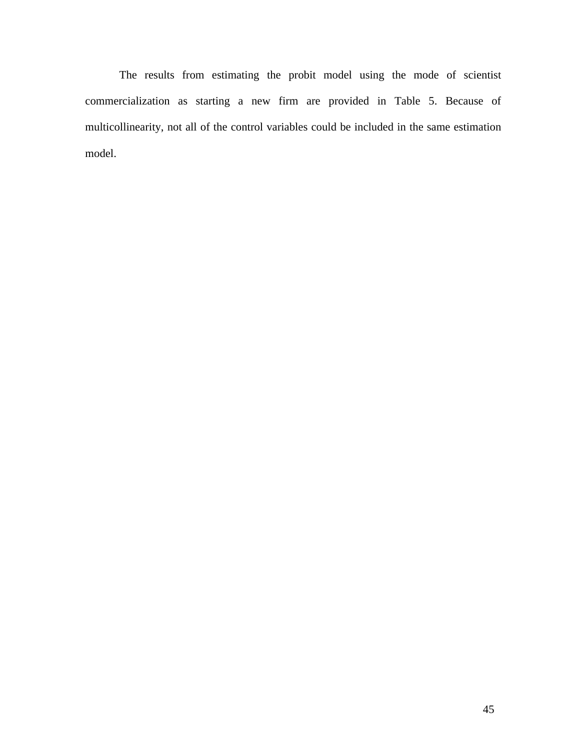The results from estimating the probit model using the mode of scientist commercialization as starting a new firm are provided in Table 5. Because of multicollinearity, not all of the control variables could be included in the same estimation model.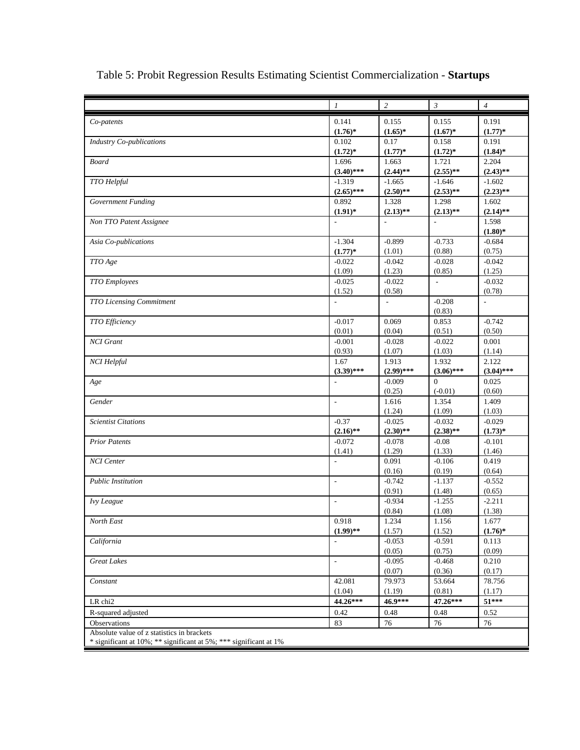|                                    | $\mathfrak{1}$           | $\overline{c}$           | $\mathfrak{Z}$           | $\overline{4}$           |
|------------------------------------|--------------------------|--------------------------|--------------------------|--------------------------|
| Co-patents                         | 0.141                    | 0.155                    | 0.155                    | 0.191                    |
|                                    | $(1.76)^*$               | $(1.65)*$                | $(1.67)*$                | $(1.77)^*$               |
| <b>Industry Co-publications</b>    | 0.102                    | 0.17                     | 0.158                    | 0.191                    |
|                                    | $(1.72)*$                | $(1.77)*$                | $(1.72)^*$               | $(1.84)$ *               |
| <b>Board</b>                       | 1.696                    | 1.663                    | 1.721                    | 2.204                    |
|                                    | $(3.40)$ ***             | $(2.44)$ **              | $(2.55)$ **              | $(2.43)$ **              |
| <b>TTO</b> Helpful                 | $-1.319$                 | $-1.665$                 | $-1.646$                 | $-1.602$                 |
|                                    | $(2.65)$ ***             | $(2.50)$ **              | $(2.53)$ **              | $(2.23)$ **              |
| Government Funding                 | 0.892                    | 1.328                    | 1.298                    | 1.602                    |
|                                    | $(1.91)$ *               | $(2.13)$ **              | $(2.13)$ **              | $(2.14)$ **              |
| Non TTO Patent Assignee            | $\overline{\phantom{a}}$ | $\overline{\phantom{a}}$ | $\overline{\phantom{a}}$ | 1.598                    |
|                                    |                          |                          |                          | $(1.80)$ *               |
| Asia Co-publications               | $-1.304$                 | $-0.899$                 | $-0.733$                 | $-0.684$                 |
|                                    | $(1.77)*$                | (1.01)                   | (0.88)                   | (0.75)                   |
| TTO Age                            | $-0.022$                 | $-0.042$                 | $-0.028$                 | $-0.042$                 |
|                                    | (1.09)                   | (1.23)                   | (0.85)                   | (1.25)                   |
| <b>TTO</b> Employees               | $-0.025$                 | $-0.022$                 |                          | $-0.032$                 |
|                                    | (1.52)                   | (0.58)                   |                          | (0.78)                   |
| <b>TTO Licensing Commitment</b>    | $\overline{a}$           | $\mathbb{L}$             | $-0.208$                 | $\overline{\phantom{a}}$ |
|                                    |                          |                          | (0.83)                   |                          |
| TTO Efficiency                     | $-0.017$                 | 0.069                    | 0.853                    | $-0.742$                 |
|                                    | (0.01)                   | (0.04)                   | (0.51)                   | (0.50)                   |
| NCI Grant                          | $-0.001$                 | $-0.028$                 | $-0.022$                 | 0.001                    |
|                                    | (0.93)                   | (1.07)                   | (1.03)                   | (1.14)                   |
| NCI Helpful                        | 1.67                     | 1.913                    | 1.932                    | 2.122                    |
|                                    | $(3.39)$ ***             | $(2.99)$ ***             | $(3.06)$ ***             | $(3.04)$ ***             |
| Age                                | $\overline{a}$           | $-0.009$                 | $\Omega$                 | 0.025                    |
|                                    |                          | (0.25)                   | $(-0.01)$                | (0.60)                   |
| Gender                             | $\overline{a}$           | 1.616                    | 1.354                    | 1.409                    |
|                                    |                          | (1.24)                   | (1.09)                   | (1.03)                   |
| <b>Scientist Citations</b>         | $-0.37$                  | $-0.025$                 | $-0.032$                 | $-0.029$                 |
|                                    | $(2.16)$ **              | $(2.30)$ **              | $(2.38)$ **              | $(1.73)*$                |
| <b>Prior Patents</b>               | $-0.072$                 | $-0.078$                 | $-0.08$                  | $-0.101$                 |
|                                    | (1.41)                   | (1.29)                   | (1.33)                   | (1.46)                   |
| <b>NCI</b> Center                  | $\overline{\phantom{a}}$ | 0.091                    | $-0.106$                 | 0.419                    |
|                                    |                          | (0.16)                   | (0.19)                   | (0.64)                   |
| <b>Public Institution</b>          | $\overline{\phantom{a}}$ | $-0.742$                 | $-1.137$                 | $-0.552$                 |
|                                    | $\bar{\phantom{a}}$      | (0.91)<br>$-0.934$       | (1.48)                   | (0.65)<br>$-2.211$       |
| <b>Ivy League</b>                  |                          |                          | $-1.255$                 |                          |
| North East                         | 0.918                    | (0.84)<br>1.234          | (1.08)<br>1.156          | (1.38)<br>1.677          |
|                                    | $(1.99)$ **              | (1.57)                   | (1.52)                   | $(1.76)^*$               |
| California                         | $\overline{\phantom{a}}$ | $-0.053$                 | $-0.591$                 | 0.113                    |
|                                    |                          | (0.05)                   | (0.75)                   | (0.09)                   |
| <b>Great Lakes</b>                 | $\bar{\phantom{a}}$      | $-0.095$                 | $-0.468$                 | 0.210                    |
|                                    |                          | (0.07)                   | (0.36)                   | (0.17)                   |
|                                    | 42.081                   | 79.973                   | 53.664                   | 78.756                   |
|                                    |                          | (1.19)                   | (0.81)                   | (1.17)                   |
| Constant                           |                          |                          |                          |                          |
|                                    | (1.04)                   |                          |                          |                          |
| LR chi2                            | 44.26***                 | 46.9***                  | 47.26***                 | $51***$                  |
| R-squared adjusted<br>Observations | 0.42<br>83               | 0.48<br>76               | 0.48<br>76               | 0.52<br>76               |

<span id="page-45-0"></span>Table 5: Probit Regression Results Estimating Scientist Commercialization - **Startups**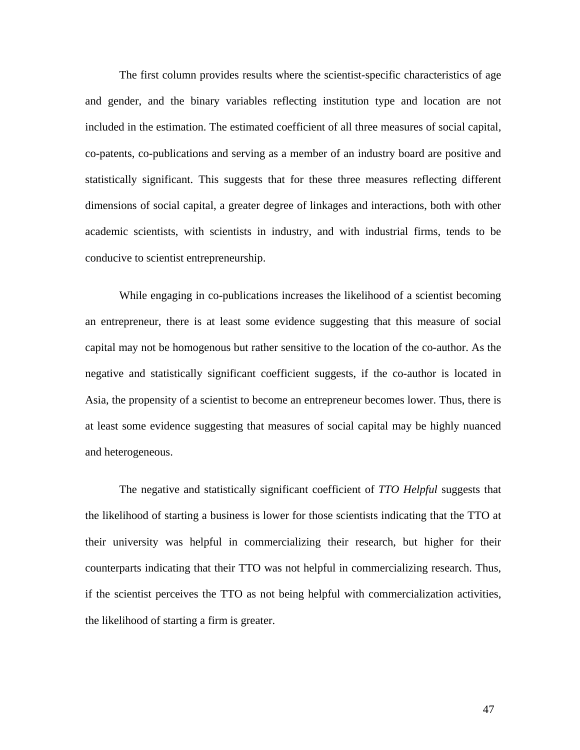The first column provides results where the scientist-specific characteristics of age and gender, and the binary variables reflecting institution type and location are not included in the estimation. The estimated coefficient of all three measures of social capital, co-patents, co-publications and serving as a member of an industry board are positive and statistically significant. This suggests that for these three measures reflecting different dimensions of social capital, a greater degree of linkages and interactions, both with other academic scientists, with scientists in industry, and with industrial firms, tends to be conducive to scientist entrepreneurship.

While engaging in co-publications increases the likelihood of a scientist becoming an entrepreneur, there is at least some evidence suggesting that this measure of social capital may not be homogenous but rather sensitive to the location of the co-author. As the negative and statistically significant coefficient suggests, if the co-author is located in Asia, the propensity of a scientist to become an entrepreneur becomes lower. Thus, there is at least some evidence suggesting that measures of social capital may be highly nuanced and heterogeneous.

The negative and statistically significant coefficient of *TTO Helpful* suggests that the likelihood of starting a business is lower for those scientists indicating that the TTO at their university was helpful in commercializing their research, but higher for their counterparts indicating that their TTO was not helpful in commercializing research. Thus, if the scientist perceives the TTO as not being helpful with commercialization activities, the likelihood of starting a firm is greater.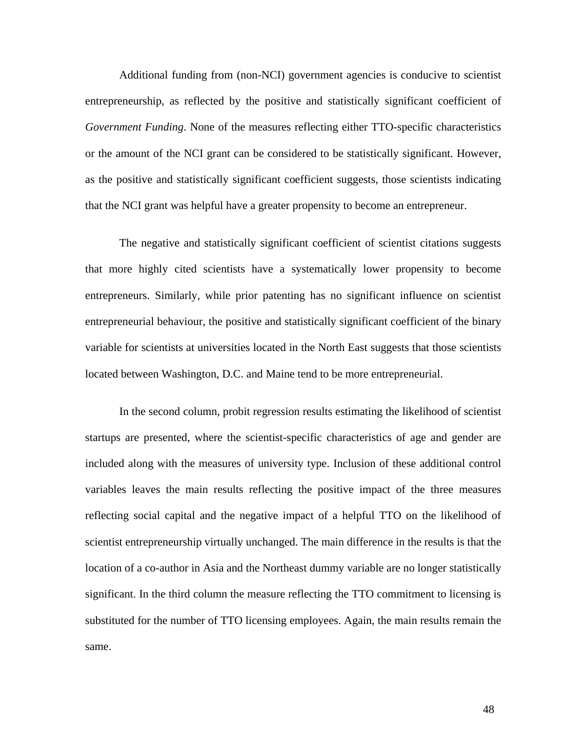Additional funding from (non-NCI) government agencies is conducive to scientist entrepreneurship, as reflected by the positive and statistically significant coefficient of *Government Funding*. None of the measures reflecting either TTO-specific characteristics or the amount of the NCI grant can be considered to be statistically significant. However, as the positive and statistically significant coefficient suggests, those scientists indicating that the NCI grant was helpful have a greater propensity to become an entrepreneur.

The negative and statistically significant coefficient of scientist citations suggests that more highly cited scientists have a systematically lower propensity to become entrepreneurs. Similarly, while prior patenting has no significant influence on scientist entrepreneurial behaviour, the positive and statistically significant coefficient of the binary variable for scientists at universities located in the North East suggests that those scientists located between Washington, D.C. and Maine tend to be more entrepreneurial.

In the second column, probit regression results estimating the likelihood of scientist startups are presented, where the scientist-specific characteristics of age and gender are included along with the measures of university type. Inclusion of these additional control variables leaves the main results reflecting the positive impact of the three measures reflecting social capital and the negative impact of a helpful TTO on the likelihood of scientist entrepreneurship virtually unchanged. The main difference in the results is that the location of a co-author in Asia and the Northeast dummy variable are no longer statistically significant. In the third column the measure reflecting the TTO commitment to licensing is substituted for the number of TTO licensing employees. Again, the main results remain the same.

48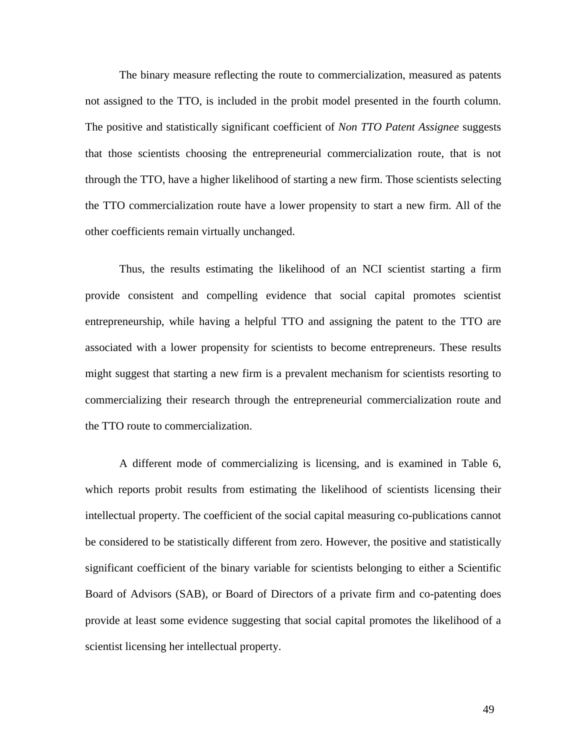The binary measure reflecting the route to commercialization, measured as patents not assigned to the TTO, is included in the probit model presented in the fourth column. The positive and statistically significant coefficient of *Non TTO Patent Assignee* suggests that those scientists choosing the entrepreneurial commercialization route, that is not through the TTO, have a higher likelihood of starting a new firm. Those scientists selecting the TTO commercialization route have a lower propensity to start a new firm. All of the other coefficients remain virtually unchanged.

Thus, the results estimating the likelihood of an NCI scientist starting a firm provide consistent and compelling evidence that social capital promotes scientist entrepreneurship, while having a helpful TTO and assigning the patent to the TTO are associated with a lower propensity for scientists to become entrepreneurs. These results might suggest that starting a new firm is a prevalent mechanism for scientists resorting to commercializing their research through the entrepreneurial commercialization route and the TTO route to commercialization.

A different mode of commercializing is licensing, and is examined in Table 6, which reports probit results from estimating the likelihood of scientists licensing their intellectual property. The coefficient of the social capital measuring co-publications cannot be considered to be statistically different from zero. However, the positive and statistically significant coefficient of the binary variable for scientists belonging to either a Scientific Board of Advisors (SAB), or Board of Directors of a private firm and co-patenting does provide at least some evidence suggesting that social capital promotes the likelihood of a scientist licensing her intellectual property.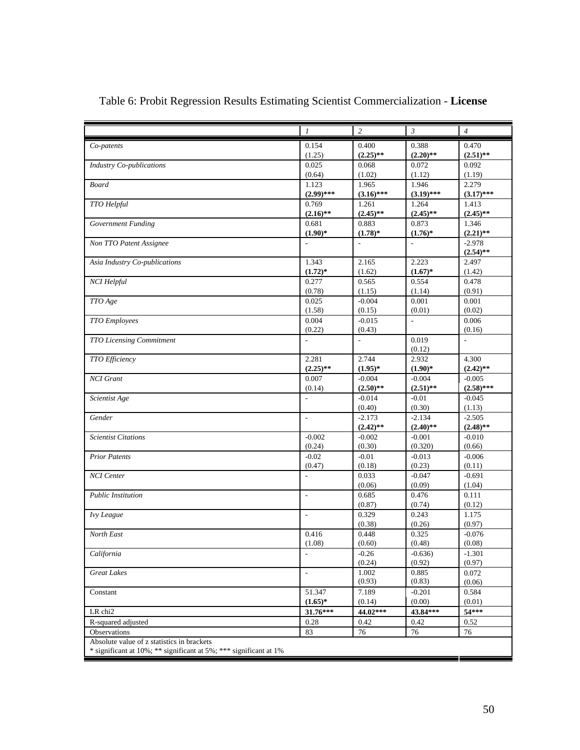|                                                                   | $\boldsymbol{l}$         | 2                        | $\mathfrak{Z}$ | $\overline{4}$ |
|-------------------------------------------------------------------|--------------------------|--------------------------|----------------|----------------|
| Co-patents                                                        | 0.154                    | 0.400                    | 0.388          | 0.470          |
|                                                                   | (1.25)                   | $(2.25)$ **              | $(2.20)$ **    | $(2.51)$ **    |
| <b>Industry Co-publications</b>                                   | 0.025                    | 0.068                    | 0.072          | 0.092          |
|                                                                   | (0.64)                   | (1.02)                   | (1.12)         | (1.19)         |
| <b>Board</b>                                                      | 1.123                    | 1.965                    | 1.946          | 2.279          |
|                                                                   | $(2.99)$ ***             | $(3.16)$ ***             | $(3.19)$ ***   | $(3.17)$ ***   |
| <b>TTO</b> Helpful                                                | 0.769                    | 1.261                    | 1.264          | 1.413          |
|                                                                   | $(2.16)$ **              | $(2.45)$ **              | $(2.45)$ **    | $(2.45)$ **    |
| Government Funding                                                | 0.681                    | 0.883                    | 0.873          | 1.346          |
|                                                                   | $(1.90)*$                | $(1.78)*$                | $(1.76)$ *     | $(2.21)$ **    |
| Non TTO Patent Assignee                                           | $\frac{1}{2}$            | $\overline{\phantom{a}}$ | ÷,             | $-2.978$       |
|                                                                   |                          |                          |                | $(2.54)$ **    |
| Asia Industry Co-publications                                     | 1.343                    | 2.165                    | 2.223          | 2.497          |
|                                                                   | $(1.72)*$                | (1.62)                   | $(1.67)^*$     | (1.42)         |
| <b>NCI Helpful</b>                                                | 0.277                    | 0.565                    | 0.554          | 0.478          |
|                                                                   | (0.78)                   | (1.15)                   | (1.14)         | (0.91)         |
| TTO Age                                                           | 0.025                    | $-0.004$                 | 0.001          | 0.001          |
|                                                                   | (1.58)                   | (0.15)                   | (0.01)         | (0.02)         |
| <b>TTO</b> Employees                                              | 0.004                    | $-0.015$                 |                | 0.006          |
|                                                                   | (0.22)                   | (0.43)                   |                | (0.16)         |
| <b>TTO Licensing Commitment</b>                                   | L.                       | $\overline{a}$           | 0.019          | ÷,             |
|                                                                   |                          |                          | (0.12)         |                |
| TTO Efficiency                                                    | 2.281                    | 2.744                    | 2.932          | 4.300          |
|                                                                   | $(2.25)$ **              | $(1.95)*$                | $(1.90)*$      | $(2.42)$ **    |
| NCI Grant                                                         | 0.007                    | $-0.004$                 | $-0.004$       | $-0.005$       |
|                                                                   | (0.14)                   | $(2.50)$ **              | $(2.51)$ **    | $(2.58)$ ***   |
|                                                                   | L.                       | $-0.014$                 | $-0.01$        | $-0.045$       |
| Scientist Age                                                     |                          | (0.40)                   | (0.30)         | (1.13)         |
| Gender                                                            | $\overline{\phantom{a}}$ | $-2.173$                 | $-2.134$       | $-2.505$       |
|                                                                   |                          | $(2.42)$ **              | $(2.40)$ **    | $(2.48)$ **    |
| <b>Scientist Citations</b>                                        | $-0.002$                 | $-0.002$                 | $-0.001$       | $-0.010$       |
|                                                                   | (0.24)                   | (0.30)                   | (0.320)        | (0.66)         |
| <b>Prior Patents</b>                                              | $-0.02$                  | $-0.01$                  | $-0.013$       | $-0.006$       |
|                                                                   |                          |                          | (0.23)         | (0.11)         |
|                                                                   | (0.47)                   | (0.18)                   |                |                |
| <b>NCI</b> Center                                                 | $\frac{1}{2}$            | 0.033                    | $-0.047$       | $-0.691$       |
|                                                                   |                          | (0.06)                   | (0.09)         | (1.04)         |
| <b>Public Institution</b>                                         | $\overline{\phantom{a}}$ | 0.685                    | 0.476          | 0.111          |
|                                                                   |                          | (0.87)                   | (0.74)         | (0.12)         |
| <b>Ivy League</b>                                                 | $\overline{a}$           | 0.329                    | 0.243          | 1.175          |
|                                                                   |                          | (0.38)                   | (0.26)         | (0.97)         |
| North East                                                        | 0.416                    | 0.448                    | 0.325          | $-0.076$       |
|                                                                   | (1.08)                   | (0.60)                   | (0.48)         | (0.08)         |
| California                                                        | $\blacksquare$           | $-0.26$                  | $-0.636$       | $-1.301$       |
|                                                                   |                          | (0.24)                   | (0.92)         | (0.97)         |
| <b>Great Lakes</b>                                                | $\blacksquare$           | 1.002                    | 0.885          | 0.072          |
|                                                                   |                          | (0.93)                   | (0.83)         | (0.06)         |
| Constant                                                          | 51.347                   | 7.189                    | $-0.201$       | 0.584          |
|                                                                   | $(1.65)*$                | (0.14)                   | (0.00)         | (0.01)         |
| LR chi2                                                           | 31.76***                 | 44.02***                 | 43.84***       | $54***$        |
| R-squared adjusted                                                | 0.28                     | 0.42                     | 0.42           | 0.52           |
| Observations                                                      | 83                       | 76                       | 76             | 76             |
| Absolute value of z statistics in brackets                        |                          |                          |                |                |
| * significant at 10%; ** significant at 5%; *** significant at 1% |                          |                          |                |                |

<span id="page-49-0"></span>Table 6: Probit Regression Results Estimating Scientist Commercialization - **License**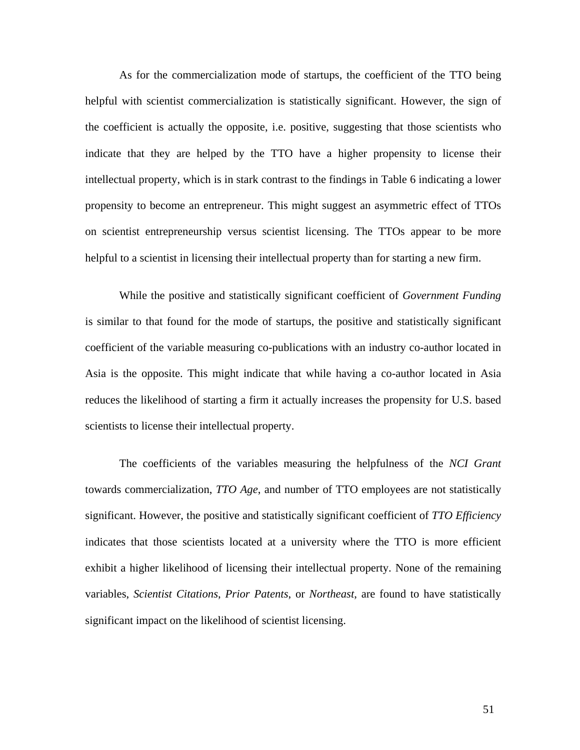As for the commercialization mode of startups, the coefficient of the TTO being helpful with scientist commercialization is statistically significant. However, the sign of the coefficient is actually the opposite, i.e. positive, suggesting that those scientists who indicate that they are helped by the TTO have a higher propensity to license their intellectual property, which is in stark contrast to the findings in Table 6 indicating a lower propensity to become an entrepreneur. This might suggest an asymmetric effect of TTOs on scientist entrepreneurship versus scientist licensing. The TTOs appear to be more helpful to a scientist in licensing their intellectual property than for starting a new firm.

While the positive and statistically significant coefficient of *Government Funding*  is similar to that found for the mode of startups, the positive and statistically significant coefficient of the variable measuring co-publications with an industry co-author located in Asia is the opposite. This might indicate that while having a co-author located in Asia reduces the likelihood of starting a firm it actually increases the propensity for U.S. based scientists to license their intellectual property.

The coefficients of the variables measuring the helpfulness of the *NCI Grant*  towards commercialization, *TTO Age*, and number of TTO employees are not statistically significant. However, the positive and statistically significant coefficient of *TTO Efficiency*  indicates that those scientists located at a university where the TTO is more efficient exhibit a higher likelihood of licensing their intellectual property. None of the remaining variables, *Scientist Citations*, *Prior Patents*, or *Northeast*, are found to have statistically significant impact on the likelihood of scientist licensing.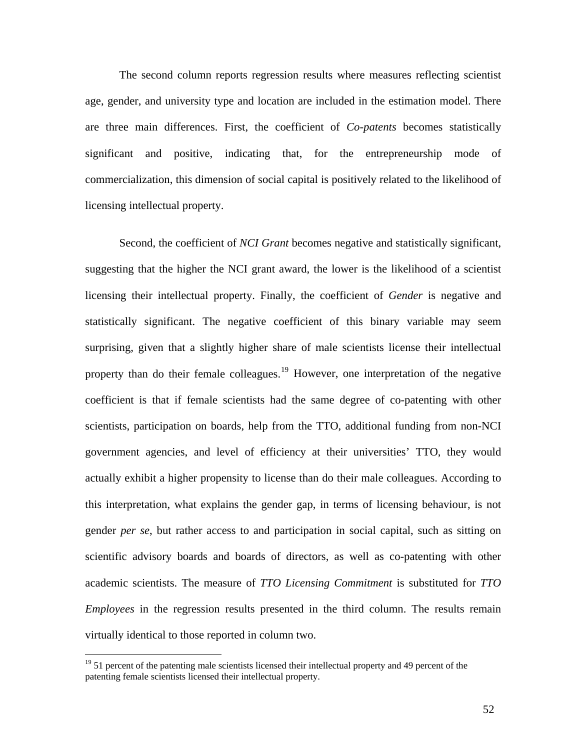The second column reports regression results where measures reflecting scientist age, gender, and university type and location are included in the estimation model. There are three main differences. First, the coefficient of *Co-patents* becomes statistically significant and positive, indicating that, for the entrepreneurship mode of commercialization, this dimension of social capital is positively related to the likelihood of licensing intellectual property.

Second, the coefficient of *NCI Grant* becomes negative and statistically significant, suggesting that the higher the NCI grant award, the lower is the likelihood of a scientist licensing their intellectual property. Finally, the coefficient of *Gender* is negative and statistically significant. The negative coefficient of this binary variable may seem surprising, given that a slightly higher share of male scientists license their intellectual property than do their female colleagues.<sup>[19](#page-51-0)</sup> However, one interpretation of the negative coefficient is that if female scientists had the same degree of co-patenting with other scientists, participation on boards, help from the TTO, additional funding from non-NCI government agencies, and level of efficiency at their universities' TTO, they would actually exhibit a higher propensity to license than do their male colleagues. According to this interpretation, what explains the gender gap, in terms of licensing behaviour, is not gender *per se*, but rather access to and participation in social capital, such as sitting on scientific advisory boards and boards of directors, as well as co-patenting with other academic scientists. The measure of *TTO Licensing Commitment* is substituted for *TTO Employees* in the regression results presented in the third column. The results remain virtually identical to those reported in column two.

 $\overline{a}$ 

<span id="page-51-0"></span><sup>&</sup>lt;sup>19</sup> 51 percent of the patenting male scientists licensed their intellectual property and 49 percent of the patenting female scientists licensed their intellectual property.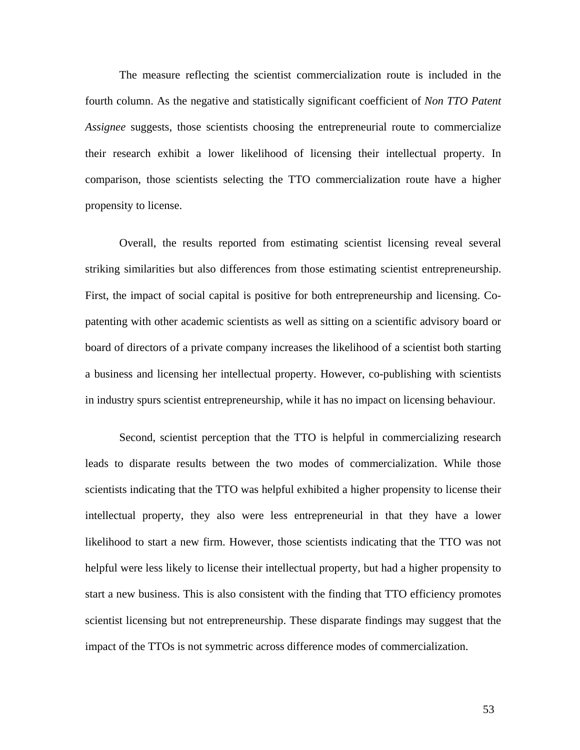The measure reflecting the scientist commercialization route is included in the fourth column. As the negative and statistically significant coefficient of *Non TTO Patent Assignee* suggests, those scientists choosing the entrepreneurial route to commercialize their research exhibit a lower likelihood of licensing their intellectual property. In comparison, those scientists selecting the TTO commercialization route have a higher propensity to license.

Overall, the results reported from estimating scientist licensing reveal several striking similarities but also differences from those estimating scientist entrepreneurship. First, the impact of social capital is positive for both entrepreneurship and licensing. Copatenting with other academic scientists as well as sitting on a scientific advisory board or board of directors of a private company increases the likelihood of a scientist both starting a business and licensing her intellectual property. However, co-publishing with scientists in industry spurs scientist entrepreneurship, while it has no impact on licensing behaviour.

Second, scientist perception that the TTO is helpful in commercializing research leads to disparate results between the two modes of commercialization. While those scientists indicating that the TTO was helpful exhibited a higher propensity to license their intellectual property, they also were less entrepreneurial in that they have a lower likelihood to start a new firm. However, those scientists indicating that the TTO was not helpful were less likely to license their intellectual property, but had a higher propensity to start a new business. This is also consistent with the finding that TTO efficiency promotes scientist licensing but not entrepreneurship. These disparate findings may suggest that the impact of the TTOs is not symmetric across difference modes of commercialization.

53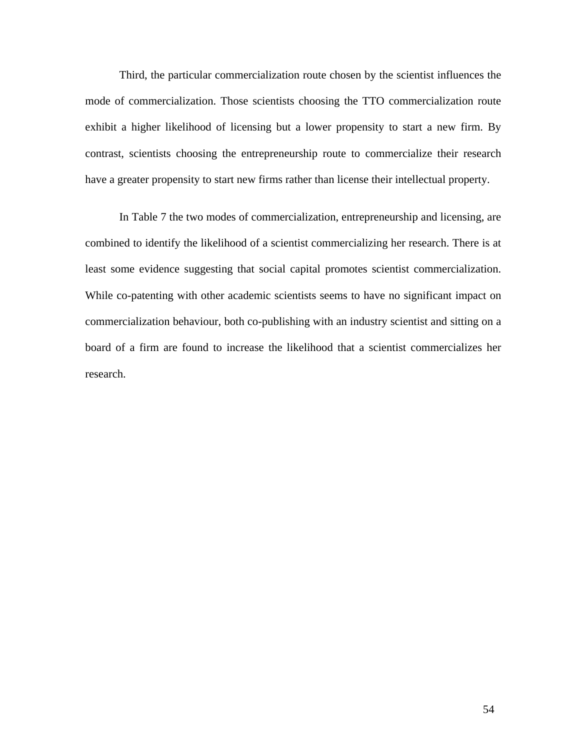Third, the particular commercialization route chosen by the scientist influences the mode of commercialization. Those scientists choosing the TTO commercialization route exhibit a higher likelihood of licensing but a lower propensity to start a new firm. By contrast, scientists choosing the entrepreneurship route to commercialize their research have a greater propensity to start new firms rather than license their intellectual property.

In Table 7 the two modes of commercialization, entrepreneurship and licensing, are combined to identify the likelihood of a scientist commercializing her research. There is at least some evidence suggesting that social capital promotes scientist commercialization. While co-patenting with other academic scientists seems to have no significant impact on commercialization behaviour, both co-publishing with an industry scientist and sitting on a board of a firm are found to increase the likelihood that a scientist commercializes her research.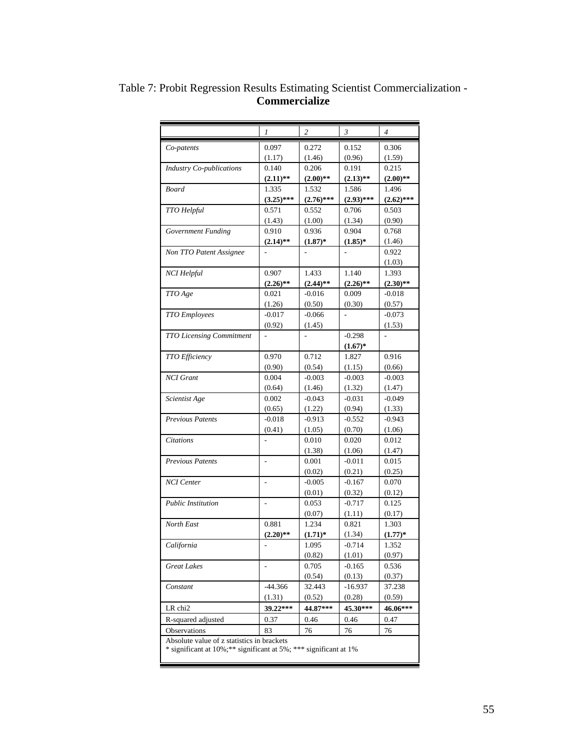|                                                                                                                | 1                        | 2            | 3            | $\overline{4}$           |
|----------------------------------------------------------------------------------------------------------------|--------------------------|--------------|--------------|--------------------------|
| Co-patents                                                                                                     | 0.097                    | 0.272        | 0.152        | 0.306                    |
|                                                                                                                | (1.17)                   | (1.46)       | (0.96)       | (1.59)                   |
| <b>Industry Co-publications</b>                                                                                | 0.140                    | 0.206        | 0.191        | 0.215                    |
|                                                                                                                | $(2.11)$ **              | $(2.00)$ **  | $(2.13)$ **  | $(2.00)$ **              |
| <b>Board</b>                                                                                                   | 1.335                    | 1.532        | 1.586        | 1.496                    |
|                                                                                                                | $(3.25)$ ***             | $(2.76)$ *** | $(2.93)$ *** | $(2.62)$ ***             |
| <b>TTO Helpful</b>                                                                                             | 0.571                    | 0.552        | 0.706        | 0.503                    |
|                                                                                                                | (1.43)                   | (1.00)       | (1.34)       | (0.90)                   |
| <b>Government Funding</b>                                                                                      | 0.910                    | 0.936        | 0.904        | 0.768                    |
|                                                                                                                | $(2.14)$ **              | $(1.87)$ *   | $(1.85)*$    | (1.46)                   |
| Non TTO Patent Assignee                                                                                        |                          |              |              | 0.922                    |
|                                                                                                                |                          |              |              | (1.03)                   |
| NCI Helpful                                                                                                    | 0.907                    | 1.433        | 1.140        | 1.393                    |
|                                                                                                                | $(2.26)$ **              | $(2.44)$ **  | $(2.26)$ **  | $(2.30)$ **              |
| TTO Age                                                                                                        | 0.021                    | $-0.016$     | 0.009        | $-0.018$                 |
|                                                                                                                | (1.26)                   | (0.50)       | (0.30)       | (0.57)                   |
| <b>TTO</b> Employees                                                                                           | $-0.017$                 | $-0.066$     |              | $-0.073$                 |
|                                                                                                                | (0.92)<br>$\overline{a}$ | (1.45)       | $-0.298$     | (1.53)<br>$\overline{a}$ |
| <b>TTO Licensing Commitment</b>                                                                                |                          |              | $(1.67)*$    |                          |
| <b>TTO</b> Efficiency                                                                                          | 0.970                    | 0.712        | 1.827        | 0.916                    |
|                                                                                                                | (0.90)                   | (0.54)       | (1.15)       | (0.66)                   |
| NCI Grant                                                                                                      | 0.004                    | $-0.003$     | $-0.003$     | $-0.003$                 |
|                                                                                                                | (0.64)                   | (1.46)       | (1.32)       | (1.47)                   |
| Scientist Age                                                                                                  | 0.002                    | $-0.043$     | $-0.031$     | $-0.049$                 |
|                                                                                                                | (0.65)                   | (1.22)       | (0.94)       | (1.33)                   |
| <b>Previous Patents</b>                                                                                        | $-0.018$                 | $-0.913$     | $-0.552$     | $-0.943$                 |
|                                                                                                                | (0.41)                   | (1.05)       | (0.70)       | (1.06)                   |
| <b>Citations</b>                                                                                               |                          | 0.010        | 0.020        | 0.012                    |
|                                                                                                                |                          | (1.38)       | (1.06)       | (1.47)                   |
| <b>Previous Patents</b>                                                                                        | $\overline{a}$           | 0.001        | $-0.011$     | 0.015                    |
|                                                                                                                |                          | (0.02)       | (0.21)       | (0.25)                   |
| <b>NCI</b> Center                                                                                              |                          | $-0.005$     | $-0.167$     | 0.070                    |
|                                                                                                                |                          | (0.01)       | (0.32)       | (0.12)                   |
| <b>Public Institution</b>                                                                                      |                          | 0.053        | $-0.717$     | 0.125                    |
|                                                                                                                |                          | (0.07)       | (1.11)       | (0.17)                   |
| North East                                                                                                     | 0.881                    | 1.234        | 0.821        | 1.303                    |
|                                                                                                                | $(2.20)$ **              | $(1.71)^*$   | (1.34)       | $(1.77)*$                |
| California                                                                                                     |                          | 1.095        | $-0.714$     | 1.352                    |
|                                                                                                                |                          | (0.82)       | (1.01)       | (0.97)                   |
| <b>Great Lakes</b>                                                                                             |                          | 0.705        | $-0.165$     | 0.536                    |
|                                                                                                                |                          | (0.54)       | (0.13)       | (0.37)                   |
| Constant                                                                                                       | $-44.366$                | 32.443       | $-16.937$    | 37.238                   |
|                                                                                                                | (1.31)                   | (0.52)       | (0.28)       | (0.59)                   |
| LR chi2                                                                                                        | 39.22***                 | 44.87***     | 45.30***     | 46.06***                 |
| R-squared adjusted                                                                                             | 0.37                     | 0.46         | 0.46         | 0.47                     |
| Observations                                                                                                   | 83                       | 76           | 76           | 76                       |
| Absolute value of z statistics in brackets<br>* significant at 10%;** significant at 5%; *** significant at 1% |                          |              |              |                          |

### <span id="page-54-0"></span>Table 7: Probit Regression Results Estimating Scientist Commercialization - **Commercialize**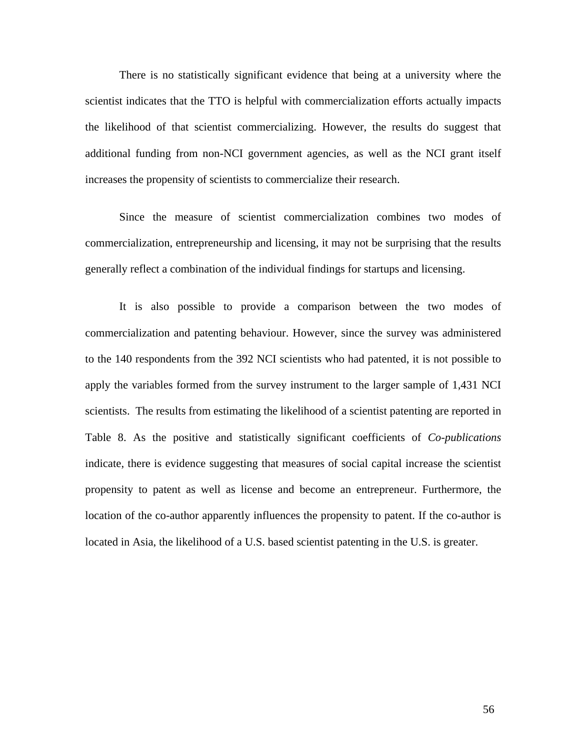There is no statistically significant evidence that being at a university where the scientist indicates that the TTO is helpful with commercialization efforts actually impacts the likelihood of that scientist commercializing. However, the results do suggest that additional funding from non-NCI government agencies, as well as the NCI grant itself increases the propensity of scientists to commercialize their research.

Since the measure of scientist commercialization combines two modes of commercialization, entrepreneurship and licensing, it may not be surprising that the results generally reflect a combination of the individual findings for startups and licensing.

It is also possible to provide a comparison between the two modes of commercialization and patenting behaviour. However, since the survey was administered to the 140 respondents from the 392 NCI scientists who had patented, it is not possible to apply the variables formed from the survey instrument to the larger sample of 1,431 NCI scientists. The results from estimating the likelihood of a scientist patenting are reported in Table 8. As the positive and statistically significant coefficients of *Co-publications* indicate, there is evidence suggesting that measures of social capital increase the scientist propensity to patent as well as license and become an entrepreneur. Furthermore, the location of the co-author apparently influences the propensity to patent. If the co-author is located in Asia, the likelihood of a U.S. based scientist patenting in the U.S. is greater.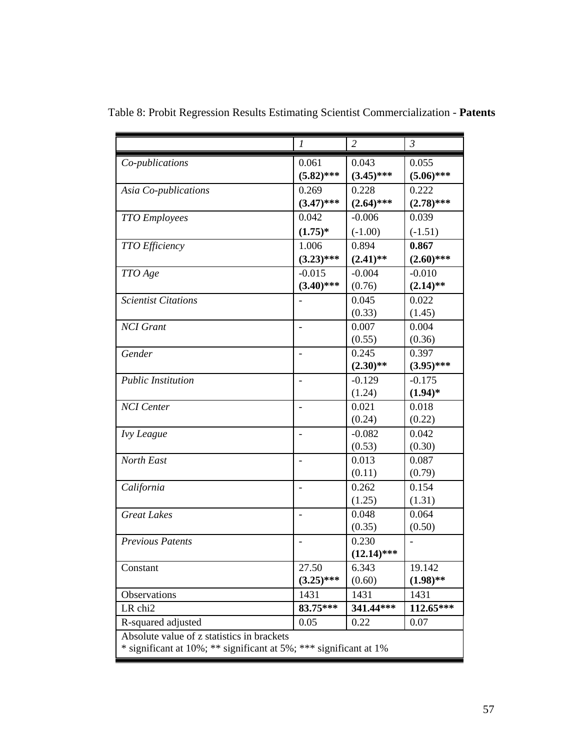|                                                                   | 1            | $\overline{2}$  | $\mathfrak{Z}$  |
|-------------------------------------------------------------------|--------------|-----------------|-----------------|
| Co-publications                                                   | 0.061        | 0.043           | 0.055           |
|                                                                   | $(5.82)$ *** | $(3.45)$ ***    | $(5.06)$ ***    |
| Asia Co-publications                                              | 0.269        | 0.228           | 0.222           |
|                                                                   | $(3.47)$ *** | $(2.64)$ ***    | $(2.78)$ ***    |
| <b>TTO</b> Employees                                              | 0.042        | $-0.006$        | 0.039           |
|                                                                   | $(1.75)*$    | $(-1.00)$       | $(-1.51)$       |
| <b>TTO</b> Efficiency                                             | 1.006        | 0.894           | 0.867           |
|                                                                   | $(3.23)$ *** | $(2.41)$ **     | $(2.60)$ ***    |
| TTO Age                                                           | $-0.015$     | $-0.004$        | $-0.010$        |
|                                                                   | $(3.40)$ *** | (0.76)          | $(2.14)$ **     |
| <b>Scientist Citations</b>                                        |              | 0.045           | 0.022           |
|                                                                   |              | (0.33)          | (1.45)          |
| <b>NCI</b> Grant                                                  |              | 0.007           | 0.004           |
|                                                                   |              | (0.55)          | (0.36)          |
| Gender                                                            |              | 0.245           | 0.397           |
|                                                                   |              | $(2.30)$ **     | $(3.95)$ ***    |
| <b>Public Institution</b>                                         |              | $-0.129$        | $-0.175$        |
|                                                                   |              | (1.24)          | $(1.94)$ *      |
| <b>NCI</b> Center                                                 |              | 0.021           | 0.018           |
|                                                                   |              | (0.24)          | (0.22)          |
| <b>Ivy League</b>                                                 |              | $-0.082$        | 0.042           |
|                                                                   |              | (0.53)          | (0.30)          |
| North East                                                        |              | 0.013<br>(0.11) | 0.087           |
|                                                                   |              | 0.262           | (0.79)<br>0.154 |
| California                                                        |              | (1.25)          |                 |
| <b>Great Lakes</b>                                                |              | 0.048           | (1.31)<br>0.064 |
|                                                                   |              | (0.35)          | (0.50)          |
| <b>Previous Patents</b>                                           |              | 0.230           |                 |
|                                                                   | -            | $(12.14)$ ***   |                 |
| Constant                                                          | 27.50        | 6.343           | 19.142          |
|                                                                   | $(3.25)$ *** | (0.60)          | $(1.98)$ **     |
| Observations                                                      | 1431         | 1431            | 1431            |
| LR chi2                                                           | 83.75***     | 341.44***       | 112.65***       |
| R-squared adjusted                                                | 0.05         | 0.22            | 0.07            |
| Absolute value of z statistics in brackets                        |              |                 |                 |
| * significant at 10%; ** significant at 5%; *** significant at 1% |              |                 |                 |

<span id="page-56-0"></span>Table 8: Probit Regression Results Estimating Scientist Commercialization - **Patents**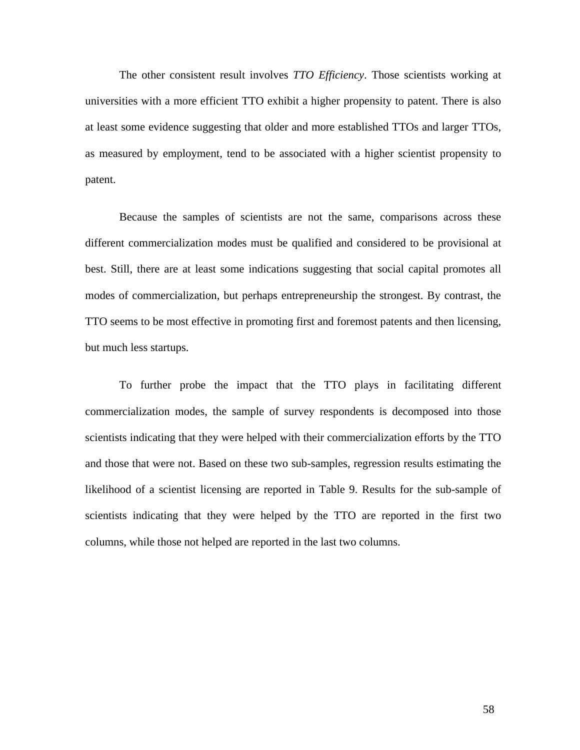The other consistent result involves *TTO Efficiency*. Those scientists working at universities with a more efficient TTO exhibit a higher propensity to patent. There is also at least some evidence suggesting that older and more established TTOs and larger TTOs, as measured by employment, tend to be associated with a higher scientist propensity to patent.

Because the samples of scientists are not the same, comparisons across these different commercialization modes must be qualified and considered to be provisional at best. Still, there are at least some indications suggesting that social capital promotes all modes of commercialization, but perhaps entrepreneurship the strongest. By contrast, the TTO seems to be most effective in promoting first and foremost patents and then licensing, but much less startups.

To further probe the impact that the TTO plays in facilitating different commercialization modes, the sample of survey respondents is decomposed into those scientists indicating that they were helped with their commercialization efforts by the TTO and those that were not. Based on these two sub-samples, regression results estimating the likelihood of a scientist licensing are reported in Table 9. Results for the sub-sample of scientists indicating that they were helped by the TTO are reported in the first two columns, while those not helped are reported in the last two columns.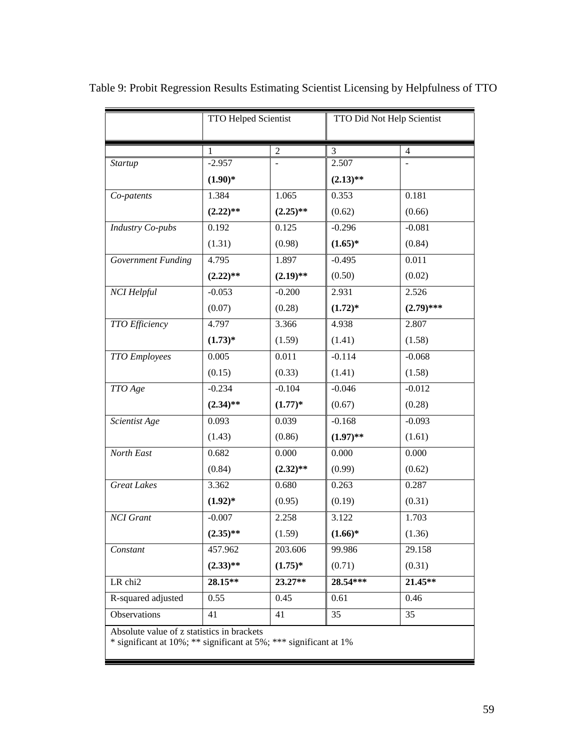|                       | <b>TTO Helped Scientist</b> |                | TTO Did Not Help Scientist |              |  |
|-----------------------|-----------------------------|----------------|----------------------------|--------------|--|
|                       | 1                           | $\overline{2}$ | 3                          | 4            |  |
| Startup               | $-2.957$                    |                | 2.507                      |              |  |
|                       | $(1.90)*$                   |                | $(2.13)$ **                |              |  |
| Co-patents            | 1.384                       | 1.065          | 0.353                      | 0.181        |  |
|                       | $(2.22)$ **                 | $(2.25)$ **    | (0.62)                     | (0.66)       |  |
| Industry Co-pubs      | 0.192                       | 0.125          | $-0.296$                   | $-0.081$     |  |
|                       | (1.31)                      | (0.98)         | $(1.65)*$                  | (0.84)       |  |
| Government Funding    | 4.795                       | 1.897          | $-0.495$                   | 0.011        |  |
|                       | $(2.22)$ **                 | $(2.19)$ **    | (0.50)                     | (0.02)       |  |
| <b>NCI Helpful</b>    | $-0.053$                    | $-0.200$       | 2.931                      | 2.526        |  |
|                       | (0.07)                      | (0.28)         | $(1.72)*$                  | $(2.79)$ *** |  |
| <b>TTO</b> Efficiency | 4.797                       | 3.366          | 4.938                      | 2.807        |  |
|                       | $(1.73)*$                   | (1.59)         | (1.41)                     | (1.58)       |  |
| <b>TTO</b> Employees  | 0.005                       | 0.011          | $-0.114$                   | $-0.068$     |  |
|                       | (0.15)                      | (0.33)         | (1.41)                     | (1.58)       |  |
| TTO Age               | $-0.234$                    | $-0.104$       | $-0.046$                   | $-0.012$     |  |
|                       | $(2.34)$ **                 | $(1.77)*$      | (0.67)                     | (0.28)       |  |
| Scientist Age         | 0.093                       | 0.039          | $-0.168$                   | $-0.093$     |  |
|                       | (1.43)                      | (0.86)         | $(1.97)$ **                | (1.61)       |  |
| North East            | 0.682                       | 0.000          | 0.000                      | 0.000        |  |
|                       | (0.84)                      | $(2.32)$ **    | (0.99)                     | (0.62)       |  |
| <b>Great Lakes</b>    | 3.362                       | 0.680          | 0.263                      | 0.287        |  |
|                       | $(1.92)*$                   | (0.95)         | (0.19)                     | (0.31)       |  |
| <b>NCI</b> Grant      | $-0.007$                    | 2.258          | 3.122                      | 1.703        |  |
|                       | $(2.35)$ **                 | (1.59)         | $(1.66)*$                  | (1.36)       |  |
| Constant              | 457.962                     | 203.606        | 99.986                     | 29.158       |  |
|                       | $(2.33)$ **                 | $(1.75)^*$     | (0.71)                     | (0.31)       |  |
| LR chi2               | 28.15**                     | 23.27**        | 28.54***                   | 21.45**      |  |
| R-squared adjusted    | 0.55                        | 0.45           | 0.61                       | 0.46         |  |
| Observations          | 41                          | 41             | 35                         | 35           |  |

<span id="page-58-0"></span>Table 9: Probit Regression Results Estimating Scientist Licensing by Helpfulness of TTO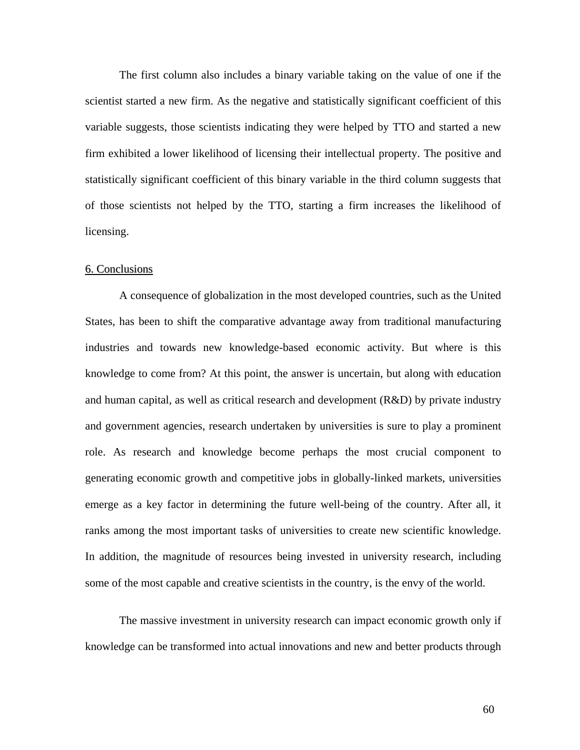<span id="page-59-0"></span>The first column also includes a binary variable taking on the value of one if the scientist started a new firm. As the negative and statistically significant coefficient of this variable suggests, those scientists indicating they were helped by TTO and started a new firm exhibited a lower likelihood of licensing their intellectual property. The positive and statistically significant coefficient of this binary variable in the third column suggests that of those scientists not helped by the TTO, starting a firm increases the likelihood of licensing.

#### 6. Conclusions

A consequence of globalization in the most developed countries, such as the United States, has been to shift the comparative advantage away from traditional manufacturing industries and towards new knowledge-based economic activity. But where is this knowledge to come from? At this point, the answer is uncertain, but along with education and human capital, as well as critical research and development  $(R&D)$  by private industry and government agencies, research undertaken by universities is sure to play a prominent role. As research and knowledge become perhaps the most crucial component to generating economic growth and competitive jobs in globally-linked markets, universities emerge as a key factor in determining the future well-being of the country. After all, it ranks among the most important tasks of universities to create new scientific knowledge. In addition, the magnitude of resources being invested in university research, including some of the most capable and creative scientists in the country, is the envy of the world.

The massive investment in university research can impact economic growth only if knowledge can be transformed into actual innovations and new and better products through

60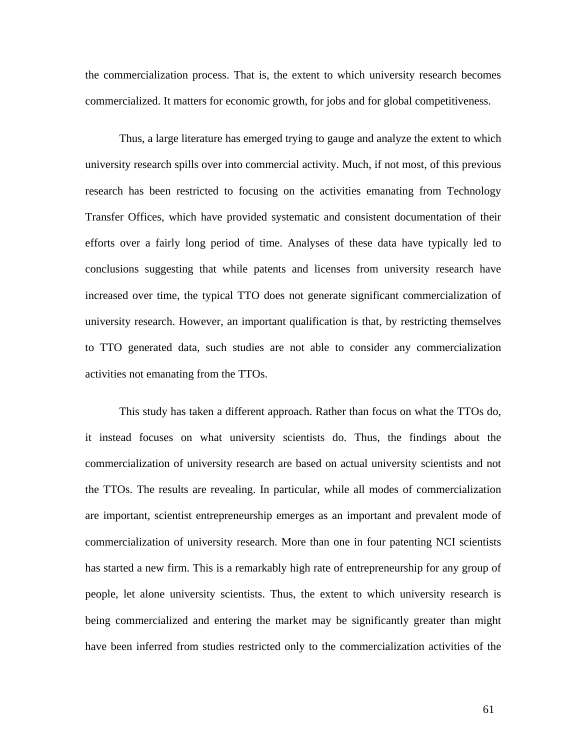the commercialization process. That is, the extent to which university research becomes commercialized. It matters for economic growth, for jobs and for global competitiveness.

Thus, a large literature has emerged trying to gauge and analyze the extent to which university research spills over into commercial activity. Much, if not most, of this previous research has been restricted to focusing on the activities emanating from Technology Transfer Offices, which have provided systematic and consistent documentation of their efforts over a fairly long period of time. Analyses of these data have typically led to conclusions suggesting that while patents and licenses from university research have increased over time, the typical TTO does not generate significant commercialization of university research. However, an important qualification is that, by restricting themselves to TTO generated data, such studies are not able to consider any commercialization activities not emanating from the TTOs.

This study has taken a different approach. Rather than focus on what the TTOs do, it instead focuses on what university scientists do. Thus, the findings about the commercialization of university research are based on actual university scientists and not the TTOs. The results are revealing. In particular, while all modes of commercialization are important, scientist entrepreneurship emerges as an important and prevalent mode of commercialization of university research. More than one in four patenting NCI scientists has started a new firm. This is a remarkably high rate of entrepreneurship for any group of people, let alone university scientists. Thus, the extent to which university research is being commercialized and entering the market may be significantly greater than might have been inferred from studies restricted only to the commercialization activities of the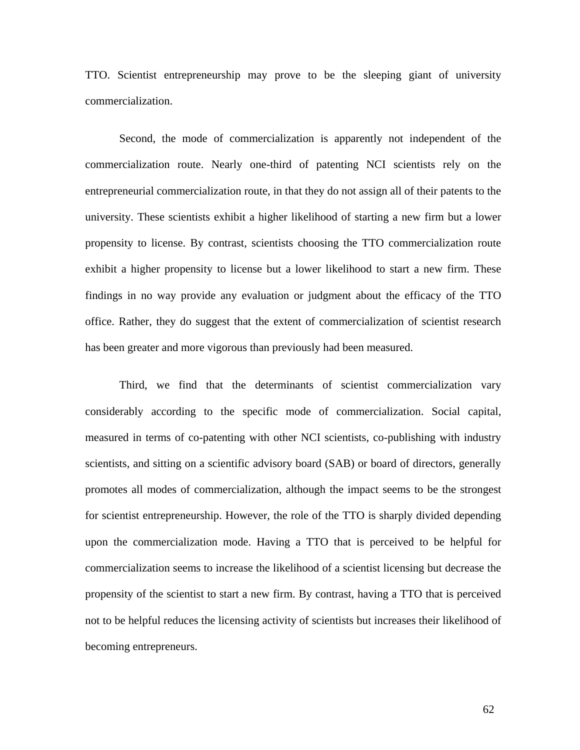TTO. Scientist entrepreneurship may prove to be the sleeping giant of university commercialization.

Second, the mode of commercialization is apparently not independent of the commercialization route. Nearly one-third of patenting NCI scientists rely on the entrepreneurial commercialization route, in that they do not assign all of their patents to the university. These scientists exhibit a higher likelihood of starting a new firm but a lower propensity to license. By contrast, scientists choosing the TTO commercialization route exhibit a higher propensity to license but a lower likelihood to start a new firm. These findings in no way provide any evaluation or judgment about the efficacy of the TTO office. Rather, they do suggest that the extent of commercialization of scientist research has been greater and more vigorous than previously had been measured.

Third, we find that the determinants of scientist commercialization vary considerably according to the specific mode of commercialization. Social capital, measured in terms of co-patenting with other NCI scientists, co-publishing with industry scientists, and sitting on a scientific advisory board (SAB) or board of directors, generally promotes all modes of commercialization, although the impact seems to be the strongest for scientist entrepreneurship. However, the role of the TTO is sharply divided depending upon the commercialization mode. Having a TTO that is perceived to be helpful for commercialization seems to increase the likelihood of a scientist licensing but decrease the propensity of the scientist to start a new firm. By contrast, having a TTO that is perceived not to be helpful reduces the licensing activity of scientists but increases their likelihood of becoming entrepreneurs.

62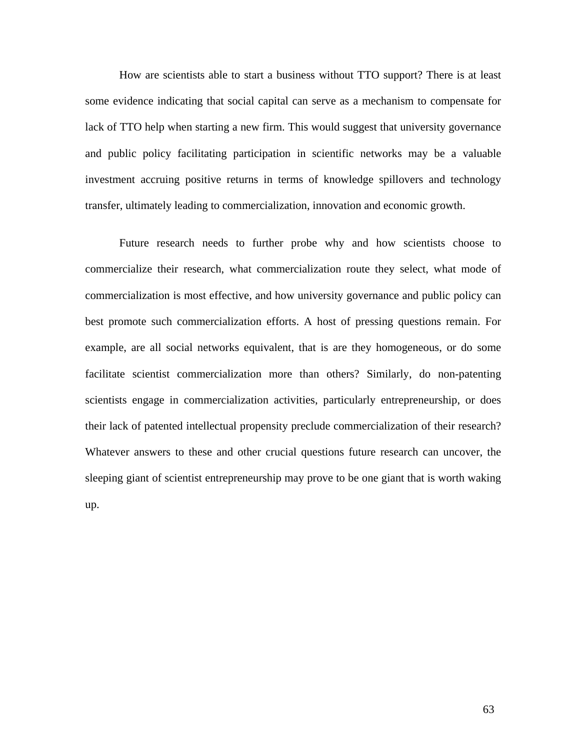How are scientists able to start a business without TTO support? There is at least some evidence indicating that social capital can serve as a mechanism to compensate for lack of TTO help when starting a new firm. This would suggest that university governance and public policy facilitating participation in scientific networks may be a valuable investment accruing positive returns in terms of knowledge spillovers and technology transfer, ultimately leading to commercialization, innovation and economic growth.

Future research needs to further probe why and how scientists choose to commercialize their research, what commercialization route they select, what mode of commercialization is most effective, and how university governance and public policy can best promote such commercialization efforts. A host of pressing questions remain. For example, are all social networks equivalent, that is are they homogeneous, or do some facilitate scientist commercialization more than others? Similarly, do non-patenting scientists engage in commercialization activities, particularly entrepreneurship, or does their lack of patented intellectual propensity preclude commercialization of their research? Whatever answers to these and other crucial questions future research can uncover, the sleeping giant of scientist entrepreneurship may prove to be one giant that is worth waking up.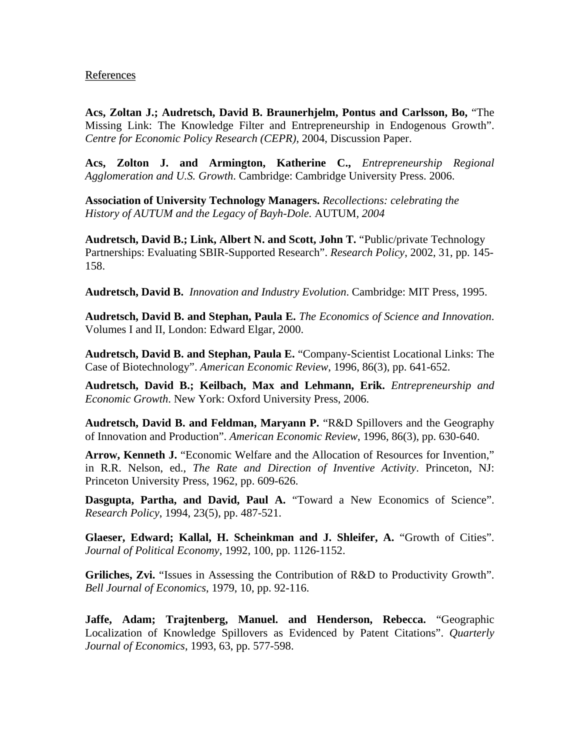<span id="page-63-0"></span>References

**Acs, Zoltan J.; Audretsch, David B. Braunerhjelm, Pontus and Carlsson, Bo,** "The Missing Link: The Knowledge Filter and Entrepreneurship in Endogenous Growth". *Centre for Economic Policy Research (CEPR)*, 2004, Discussion Paper.

**Acs, Zolton J. and Armington, Katherine C.,** *Entrepreneurship Regional Agglomeration and U.S. Growth*. Cambridge: Cambridge University Press. 2006.

**Association of University Technology Managers.** *Recollections: celebrating the History of AUTUM and the Legacy of Bayh-Dole.* AUTUM*, 2004* 

**Audretsch, David B.; Link, Albert N. and Scott, John T.** "Public/private Technology Partnerships: Evaluating SBIR-Supported Research". *Research Policy*, 2002, 31, pp. 145- 158.

**Audretsch, David B.** *Innovation and Industry Evolution*. Cambridge: MIT Press, 1995.

**Audretsch, David B. and Stephan, Paula E.** *The Economics of Science and Innovation*. Volumes I and II*,* London: Edward Elgar, 2000.

**Audretsch, David B. and Stephan, Paula E.** "Company-Scientist Locational Links: The Case of Biotechnology". *American Economic Review*, 1996, 86(3), pp. 641-652.

**Audretsch, David B.; Keilbach, Max and Lehmann, Erik.** *Entrepreneurship and Economic Growth*. New York: Oxford University Press, 2006.

**Audretsch, David B. and Feldman, Maryann P.** "R&D Spillovers and the Geography of Innovation and Production". *American Economic Review*, 1996, 86(3), pp. 630-640.

**Arrow, Kenneth J.** "Economic Welfare and the Allocation of Resources for Invention," in R.R. Nelson, ed., *The Rate and Direction of Inventive Activity*. Princeton, NJ: Princeton University Press, 1962, pp. 609-626.

**Dasgupta, Partha, and David, Paul A.** "Toward a New Economics of Science". *Research Policy*, 1994, 23(5), pp. 487-521.

**Glaeser, Edward; Kallal, H. Scheinkman and J. Shleifer, A.** "Growth of Cities". *Journal of Political Economy*, 1992, 100, pp. 1126-1152.

**Griliches, Zvi.** "Issues in Assessing the Contribution of R&D to Productivity Growth". *Bell Journal of Economics*, 1979, 10, pp. 92-116.

**Jaffe, Adam; Trajtenberg, Manuel. and Henderson, Rebecca.** "Geographic Localization of Knowledge Spillovers as Evidenced by Patent Citations". *Quarterly Journal of Economics*, 1993, 63, pp. 577-598.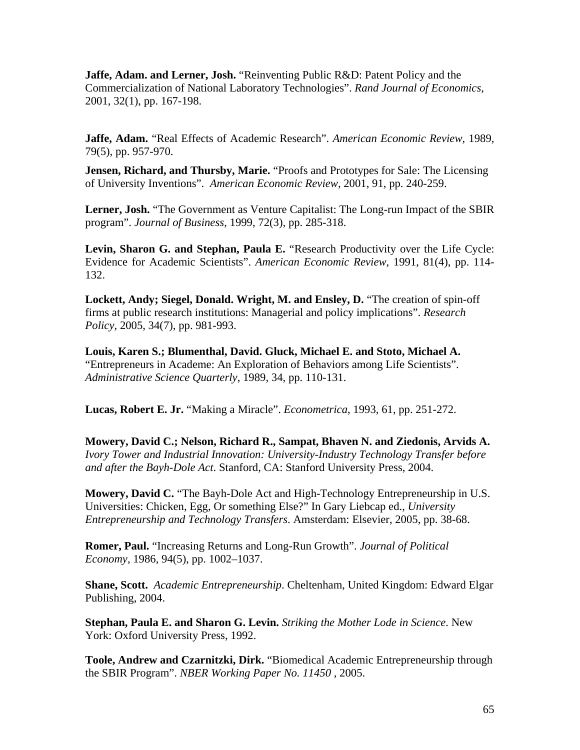**Jaffe, Adam. and Lerner, Josh.** "Reinventing Public R&D: Patent Policy and the Commercialization of National Laboratory Technologies". *Rand Journal of Economics,*  2001, 32(1), pp. 167-198.

**Jaffe, Adam.** "Real Effects of Academic Research". *American Economic Review,* 1989, 79(5), pp. 957-970.

**Jensen, Richard, and Thursby, Marie.** "[Proofs and Prototypes for Sale: The Licensing](http://www.aeaweb.org/aer/contents/mar2001.html#12#12)  [of University Inventions](http://www.aeaweb.org/aer/contents/mar2001.html#12#12)". *American Economic Review*, 2001, 91, pp. 240-259.

**Lerner, Josh.** "The Government as Venture Capitalist: The Long-run Impact of the SBIR program". *Journal of Business*, 1999, 72(3), pp. 285-318.

**Levin, Sharon G. and Stephan, Paula E.** "Research Productivity over the Life Cycle: Evidence for Academic Scientists". *American Economic Review*, 1991, 81(4), pp. 114- 132.

**Lockett, Andy; Siegel, Donald. Wright, M. and Ensley, D.** "The creation of spin-off firms at public research institutions: Managerial and policy implications". *Research Policy,* 2005, 34(7), pp. 981-993.

**Louis, Karen S.; Blumenthal, David. Gluck, Michael E. and Stoto, Michael A.**  "Entrepreneurs in Academe: An Exploration of Behaviors among Life Scientists". *Administrative Science Quarterly*, 1989, 34, pp. 110-131.

**Lucas, Robert E. Jr.** "Making a Miracle". *Econometrica*, 1993, 61, pp. 251-272.

**Mowery, David C.; Nelson, Richard R., Sampat, Bhaven N. and Ziedonis, Arvids A.** *Ivory Tower and Industrial Innovation: University-Industry Technology Transfer before and after the Bayh-Dole Act*. Stanford, CA: Stanford University Press, 2004.

**Mowery, David C.** "The Bayh-Dole Act and High-Technology Entrepreneurship in U.S. Universities: Chicken, Egg, Or something Else?" In Gary Liebcap ed., *University Entrepreneurship and Technology Transfers*. Amsterdam: Elsevier, 2005, pp. 38-68.

**Romer, Paul.** "Increasing Returns and Long-Run Growth". *Journal of Political Economy,* 1986, 94(5), pp. 1002–1037.

**Shane, Scott.** *Academic Entrepreneurship*. Cheltenham, United Kingdom: Edward Elgar Publishing, 2004.

**Stephan, Paula E. and Sharon G. Levin.** *Striking the Mother Lode in Science*. New York: Oxford University Press, 1992.

**Toole, Andrew and Czarnitzki, Dirk.** "Biomedical Academic Entrepreneurship through the SBIR Program". *NBER Working Paper No. 11450* , 2005.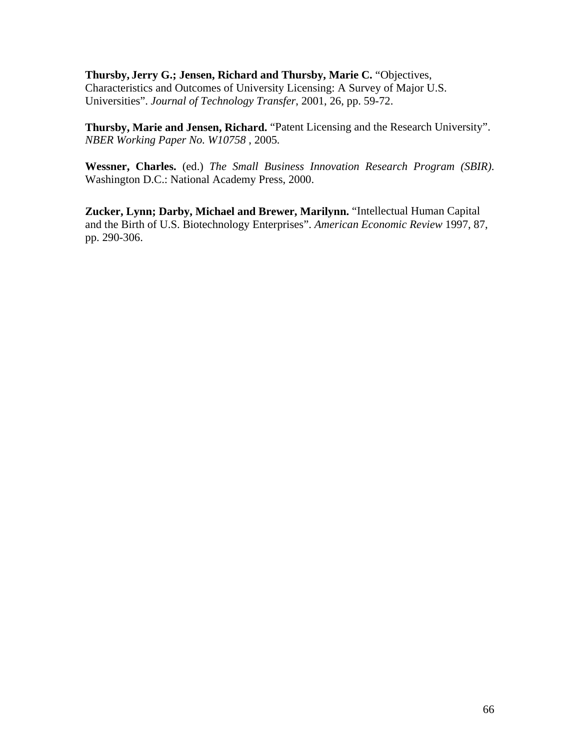**Thursby, Jerry G.; Jensen, Richard and Thursby, Marie C.** "Objectives, Characteristics and Outcomes of University Licensing: A Survey of Major U.S. Universities". *Journal of Technology Transfer*, 2001, 26, pp. 59-72.

**Thursby, Marie and Jensen, Richard.** "Patent Licensing and the Research University". *NBER Working Paper No. W10758* , 2005*.* 

**Wessner, Charles.** (ed.) *The Small Business Innovation Research Program (SBIR)*. Washington D.C.: National Academy Press, 2000.

**Zucker, Lynn; Darby, Michael and Brewer, Marilynn.** "Intellectual Human Capital and the Birth of U.S. Biotechnology Enterprises". *American Economic Review* 1997, 87, pp. 290-306.